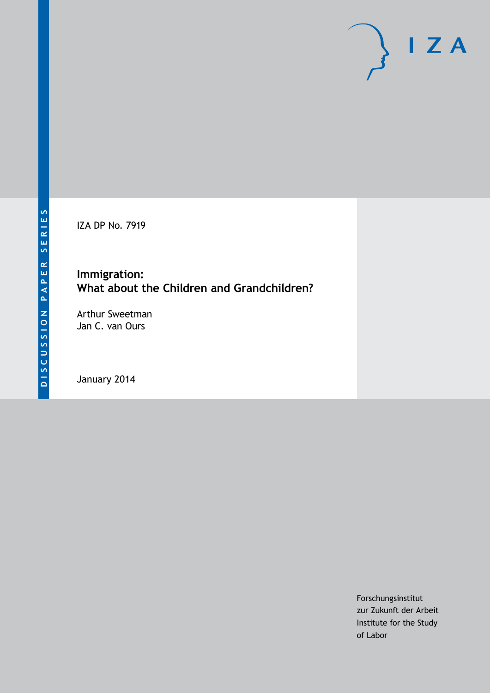IZA DP No. 7919

# **Immigration: What about the Children and Grandchildren?**

Arthur Sweetman Jan C. van Ours

January 2014

Forschungsinstitut zur Zukunft der Arbeit Institute for the Study of Labor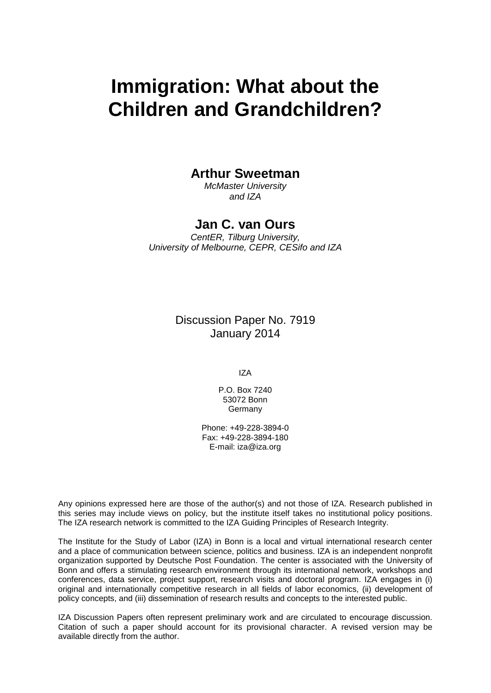# **Immigration: What about the Children and Grandchildren?**

# **Arthur Sweetman**

*McMaster University and IZA*

# **Jan C. van Ours**

*CentER, Tilburg University, University of Melbourne, CEPR, CESifo and IZA*

> Discussion Paper No. 7919 January 2014

> > IZA

P.O. Box 7240 53072 Bonn **Germany** 

Phone: +49-228-3894-0 Fax: +49-228-3894-180 E-mail: [iza@iza.org](mailto:iza@iza.org)

Any opinions expressed here are those of the author(s) and not those of IZA. Research published in this series may include views on policy, but the institute itself takes no institutional policy positions. The IZA research network is committed to the IZA Guiding Principles of Research Integrity.

The Institute for the Study of Labor (IZA) in Bonn is a local and virtual international research center and a place of communication between science, politics and business. IZA is an independent nonprofit organization supported by Deutsche Post Foundation. The center is associated with the University of Bonn and offers a stimulating research environment through its international network, workshops and conferences, data service, project support, research visits and doctoral program. IZA engages in (i) original and internationally competitive research in all fields of labor economics, (ii) development of policy concepts, and (iii) dissemination of research results and concepts to the interested public.

<span id="page-1-0"></span>IZA Discussion Papers often represent preliminary work and are circulated to encourage discussion. Citation of such a paper should account for its provisional character. A revised version may be available directly from the author.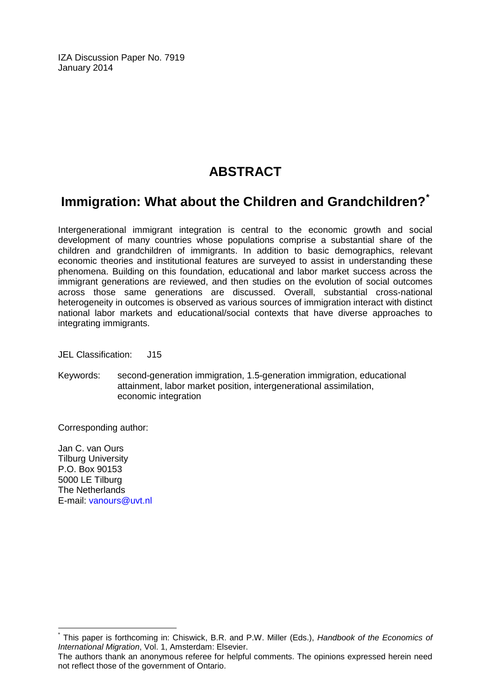IZA Discussion Paper No. 7919 January 2014

# **ABSTRACT**

# **Immigration: What about the Children and Grandchildren?[\\*](#page-1-0)**

Intergenerational immigrant integration is central to the economic growth and social development of many countries whose populations comprise a substantial share of the children and grandchildren of immigrants. In addition to basic demographics, relevant economic theories and institutional features are surveyed to assist in understanding these phenomena. Building on this foundation, educational and labor market success across the immigrant generations are reviewed, and then studies on the evolution of social outcomes across those same generations are discussed. Overall, substantial cross-national heterogeneity in outcomes is observed as various sources of immigration interact with distinct national labor markets and educational/social contexts that have diverse approaches to integrating immigrants.

JEL Classification: J15

Keywords: second-generation immigration, 1.5-generation immigration, educational attainment, labor market position, intergenerational assimilation, economic integration

Corresponding author:

Jan C. van Ours Tilburg University P.O. Box 90153 5000 LE Tilburg The Netherlands E-mail: [vanours@uvt.nl](mailto:vanours@uvt.nl)

\* This paper is forthcoming in: Chiswick, B.R. and P.W. Miller (Eds.), *Handbook of the Economics of International Migration*, Vol. 1, Amsterdam: Elsevier.

The authors thank an anonymous referee for helpful comments. The opinions expressed herein need not reflect those of the government of Ontario.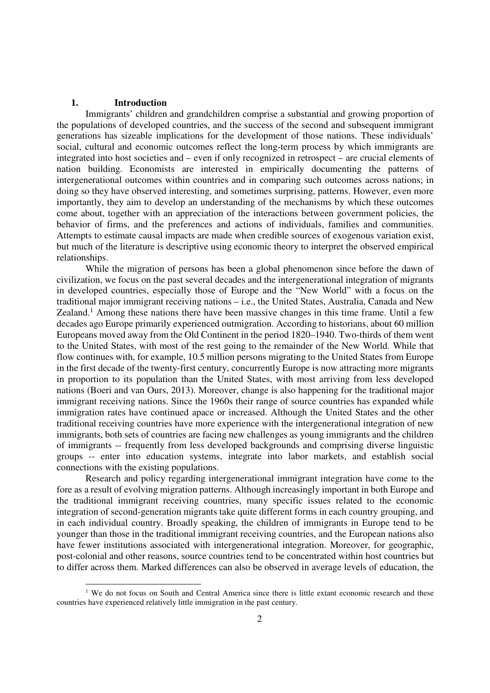#### **1. Introduction**

Immigrants' children and grandchildren comprise a substantial and growing proportion of the populations of developed countries, and the success of the second and subsequent immigrant generations has sizeable implications for the development of those nations. These individuals' social, cultural and economic outcomes reflect the long-term process by which immigrants are integrated into host societies and – even if only recognized in retrospect – are crucial elements of nation building. Economists are interested in empirically documenting the patterns of intergenerational outcomes within countries and in comparing such outcomes across nations; in doing so they have observed interesting, and sometimes surprising, patterns. However, even more importantly, they aim to develop an understanding of the mechanisms by which these outcomes come about, together with an appreciation of the interactions between government policies, the behavior of firms, and the preferences and actions of individuals, families and communities. Attempts to estimate causal impacts are made when credible sources of exogenous variation exist, but much of the literature is descriptive using economic theory to interpret the observed empirical relationships.

While the migration of persons has been a global phenomenon since before the dawn of civilization, we focus on the past several decades and the intergenerational integration of migrants in developed countries, especially those of Europe and the "New World" with a focus on the traditional major immigrant receiving nations – i.e., the United States, Australia, Canada and New Zealand.<sup>1</sup> Among these nations there have been massive changes in this time frame. Until a few decades ago Europe primarily experienced outmigration. According to historians, about 60 million Europeans moved away from the Old Continent in the period 1820–1940. Two-thirds of them went to the United States, with most of the rest going to the remainder of the New World. While that flow continues with, for example, 10.5 million persons migrating to the United States from Europe in the first decade of the twenty-first century, concurrently Europe is now attracting more migrants in proportion to its population than the United States, with most arriving from less developed nations (Boeri and van Ours, 2013). Moreover, change is also happening for the traditional major immigrant receiving nations. Since the 1960s their range of source countries has expanded while immigration rates have continued apace or increased. Although the United States and the other traditional receiving countries have more experience with the intergenerational integration of new immigrants, both sets of countries are facing new challenges as young immigrants and the children of immigrants -- frequently from less developed backgrounds and comprising diverse linguistic groups -- enter into education systems, integrate into labor markets, and establish social connections with the existing populations.

Research and policy regarding intergenerational immigrant integration have come to the fore as a result of evolving migration patterns. Although increasingly important in both Europe and the traditional immigrant receiving countries, many specific issues related to the economic integration of second-generation migrants take quite different forms in each country grouping, and in each individual country. Broadly speaking, the children of immigrants in Europe tend to be younger than those in the traditional immigrant receiving countries, and the European nations also have fewer institutions associated with intergenerational integration. Moreover, for geographic, post-colonial and other reasons, source countries tend to be concentrated within host countries but to differ across them. Marked differences can also be observed in average levels of education, the

<sup>&</sup>lt;sup>1</sup> We do not focus on South and Central America since there is little extant economic research and these countries have experienced relatively little immigration in the past century.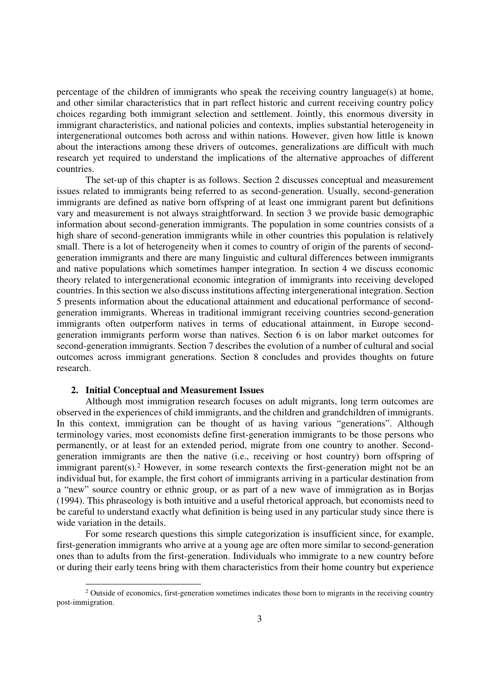percentage of the children of immigrants who speak the receiving country language(s) at home, and other similar characteristics that in part reflect historic and current receiving country policy choices regarding both immigrant selection and settlement. Jointly, this enormous diversity in immigrant characteristics, and national policies and contexts, implies substantial heterogeneity in intergenerational outcomes both across and within nations. However, given how little is known about the interactions among these drivers of outcomes, generalizations are difficult with much research yet required to understand the implications of the alternative approaches of different countries.

The set-up of this chapter is as follows. Section 2 discusses conceptual and measurement issues related to immigrants being referred to as second-generation. Usually, second-generation immigrants are defined as native born offspring of at least one immigrant parent but definitions vary and measurement is not always straightforward. In section 3 we provide basic demographic information about second-generation immigrants. The population in some countries consists of a high share of second-generation immigrants while in other countries this population is relatively small. There is a lot of heterogeneity when it comes to country of origin of the parents of secondgeneration immigrants and there are many linguistic and cultural differences between immigrants and native populations which sometimes hamper integration. In section 4 we discuss economic theory related to intergenerational economic integration of immigrants into receiving developed countries. In this section we also discuss institutions affecting intergenerational integration. Section 5 presents information about the educational attainment and educational performance of secondgeneration immigrants. Whereas in traditional immigrant receiving countries second-generation immigrants often outperform natives in terms of educational attainment, in Europe secondgeneration immigrants perform worse than natives. Section 6 is on labor market outcomes for second-generation immigrants. Section 7 describes the evolution of a number of cultural and social outcomes across immigrant generations. Section 8 concludes and provides thoughts on future research.

#### **2. Initial Conceptual and Measurement Issues**

Although most immigration research focuses on adult migrants, long term outcomes are observed in the experiences of child immigrants, and the children and grandchildren of immigrants. In this context, immigration can be thought of as having various "generations". Although terminology varies, most economists define first-generation immigrants to be those persons who permanently, or at least for an extended period, migrate from one country to another. Secondgeneration immigrants are then the native (i.e., receiving or host country) born offspring of immigrant parent(s).<sup>2</sup> However, in some research contexts the first-generation might not be an individual but, for example, the first cohort of immigrants arriving in a particular destination from a "new" source country or ethnic group, or as part of a new wave of immigration as in Borjas (1994). This phraseology is both intuitive and a useful rhetorical approach, but economists need to be careful to understand exactly what definition is being used in any particular study since there is wide variation in the details.

For some research questions this simple categorization is insufficient since, for example, first-generation immigrants who arrive at a young age are often more similar to second-generation ones than to adults from the first-generation. Individuals who immigrate to a new country before or during their early teens bring with them characteristics from their home country but experience

<sup>&</sup>lt;sup>2</sup> Outside of economics, first-generation sometimes indicates those born to migrants in the receiving country post-immigration.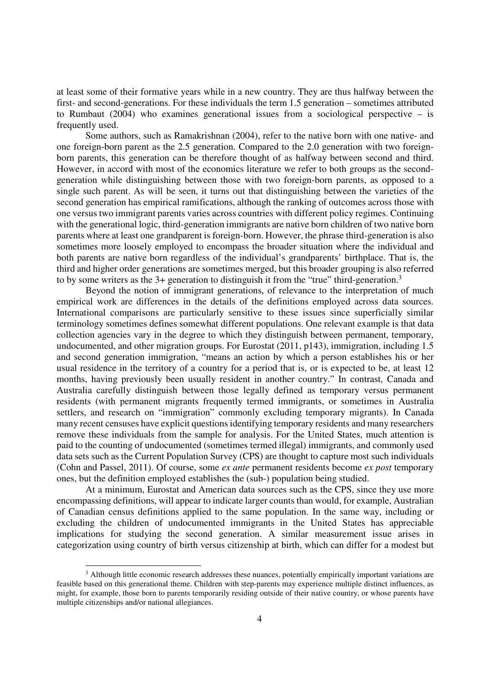at least some of their formative years while in a new country. They are thus halfway between the first- and second-generations. For these individuals the term 1.5 generation – sometimes attributed to Rumbaut (2004) who examines generational issues from a sociological perspective – is frequently used.

Some authors, such as Ramakrishnan (2004), refer to the native born with one native- and one foreign-born parent as the 2.5 generation. Compared to the 2.0 generation with two foreignborn parents, this generation can be therefore thought of as halfway between second and third. However, in accord with most of the economics literature we refer to both groups as the secondgeneration while distinguishing between those with two foreign-born parents, as opposed to a single such parent. As will be seen, it turns out that distinguishing between the varieties of the second generation has empirical ramifications, although the ranking of outcomes across those with one versus two immigrant parents varies across countries with different policy regimes. Continuing with the generational logic, third-generation immigrants are native born children of two native born parents where at least one grandparent is foreign-born. However, the phrase third-generation is also sometimes more loosely employed to encompass the broader situation where the individual and both parents are native born regardless of the individual's grandparents' birthplace. That is, the third and higher order generations are sometimes merged, but this broader grouping is also referred to by some writers as the  $3+$  generation to distinguish it from the "true" third-generation.<sup>3</sup>

Beyond the notion of immigrant generations, of relevance to the interpretation of much empirical work are differences in the details of the definitions employed across data sources. International comparisons are particularly sensitive to these issues since superficially similar terminology sometimes defines somewhat different populations. One relevant example is that data collection agencies vary in the degree to which they distinguish between permanent, temporary, undocumented, and other migration groups. For Eurostat (2011, p143), immigration, including 1.5 and second generation immigration, "means an action by which a person establishes his or her usual residence in the territory of a country for a period that is, or is expected to be, at least 12 months, having previously been usually resident in another country." In contrast, Canada and Australia carefully distinguish between those legally defined as temporary versus permanent residents (with permanent migrants frequently termed immigrants, or sometimes in Australia settlers, and research on "immigration" commonly excluding temporary migrants). In Canada many recent censuses have explicit questions identifying temporary residents and many researchers remove these individuals from the sample for analysis. For the United States, much attention is paid to the counting of undocumented (sometimes termed illegal) immigrants, and commonly used data sets such as the Current Population Survey (CPS) are thought to capture most such individuals (Cohn and Passel, 2011). Of course, some *ex ante* permanent residents become *ex post* temporary ones, but the definition employed establishes the (sub-) population being studied.

At a minimum, Eurostat and American data sources such as the CPS, since they use more encompassing definitions, will appear to indicate larger counts than would, for example, Australian of Canadian census definitions applied to the same population. In the same way, including or excluding the children of undocumented immigrants in the United States has appreciable implications for studying the second generation. A similar measurement issue arises in categorization using country of birth versus citizenship at birth, which can differ for a modest but

<sup>&</sup>lt;sup>3</sup> Although little economic research addresses these nuances, potentially empirically important variations are feasible based on this generational theme. Children with step-parents may experience multiple distinct influences, as might, for example, those born to parents temporarily residing outside of their native country, or whose parents have multiple citizenships and/or national allegiances.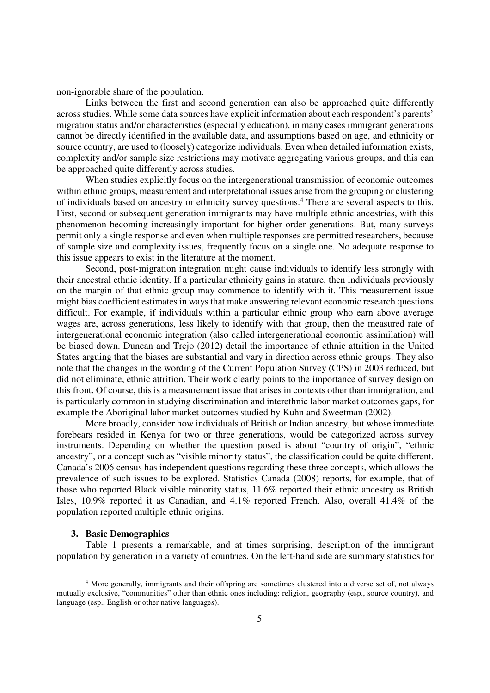non-ignorable share of the population.

Links between the first and second generation can also be approached quite differently across studies. While some data sources have explicit information about each respondent's parents' migration status and/or characteristics (especially education), in many cases immigrant generations cannot be directly identified in the available data, and assumptions based on age, and ethnicity or source country, are used to (loosely) categorize individuals. Even when detailed information exists, complexity and/or sample size restrictions may motivate aggregating various groups, and this can be approached quite differently across studies.

When studies explicitly focus on the intergenerational transmission of economic outcomes within ethnic groups, measurement and interpretational issues arise from the grouping or clustering of individuals based on ancestry or ethnicity survey questions.<sup>4</sup> There are several aspects to this. First, second or subsequent generation immigrants may have multiple ethnic ancestries, with this phenomenon becoming increasingly important for higher order generations. But, many surveys permit only a single response and even when multiple responses are permitted researchers, because of sample size and complexity issues, frequently focus on a single one. No adequate response to this issue appears to exist in the literature at the moment.

Second, post-migration integration might cause individuals to identify less strongly with their ancestral ethnic identity. If a particular ethnicity gains in stature, then individuals previously on the margin of that ethnic group may commence to identify with it. This measurement issue might bias coefficient estimates in ways that make answering relevant economic research questions difficult. For example, if individuals within a particular ethnic group who earn above average wages are, across generations, less likely to identify with that group, then the measured rate of intergenerational economic integration (also called intergenerational economic assimilation) will be biased down. Duncan and Trejo (2012) detail the importance of ethnic attrition in the United States arguing that the biases are substantial and vary in direction across ethnic groups. They also note that the changes in the wording of the Current Population Survey (CPS) in 2003 reduced, but did not eliminate, ethnic attrition. Their work clearly points to the importance of survey design on this front. Of course, this is a measurement issue that arises in contexts other than immigration, and is particularly common in studying discrimination and interethnic labor market outcomes gaps, for example the Aboriginal labor market outcomes studied by Kuhn and Sweetman (2002).

More broadly, consider how individuals of British or Indian ancestry, but whose immediate forebears resided in Kenya for two or three generations, would be categorized across survey instruments. Depending on whether the question posed is about "country of origin", "ethnic ancestry", or a concept such as "visible minority status", the classification could be quite different. Canada's 2006 census has independent questions regarding these three concepts, which allows the prevalence of such issues to be explored. Statistics Canada (2008) reports, for example, that of those who reported Black visible minority status, 11.6% reported their ethnic ancestry as British Isles, 10.9% reported it as Canadian, and 4.1% reported French. Also, overall 41.4% of the population reported multiple ethnic origins.

#### **3. Basic Demographics**

Table 1 presents a remarkable, and at times surprising, description of the immigrant population by generation in a variety of countries. On the left-hand side are summary statistics for

<sup>4</sup> More generally, immigrants and their offspring are sometimes clustered into a diverse set of, not always mutually exclusive, "communities" other than ethnic ones including: religion, geography (esp., source country), and language (esp., English or other native languages).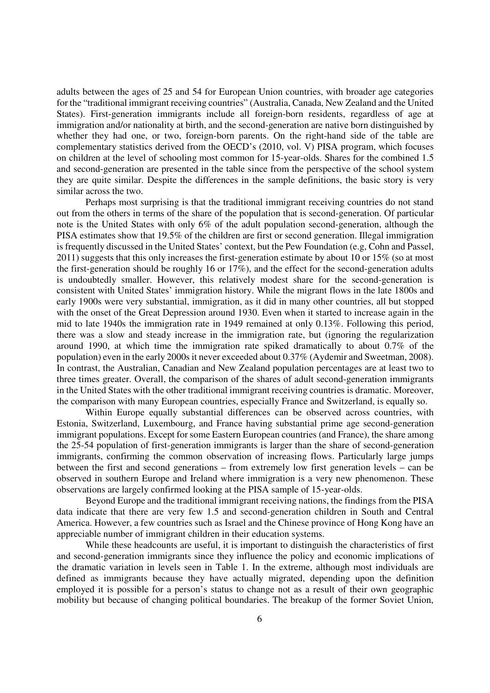adults between the ages of 25 and 54 for European Union countries, with broader age categories for the "traditional immigrant receiving countries" (Australia, Canada, New Zealand and the United States). First-generation immigrants include all foreign-born residents, regardless of age at immigration and/or nationality at birth, and the second-generation are native born distinguished by whether they had one, or two, foreign-born parents. On the right-hand side of the table are complementary statistics derived from the OECD's (2010, vol. V) PISA program, which focuses on children at the level of schooling most common for 15-year-olds. Shares for the combined 1.5 and second-generation are presented in the table since from the perspective of the school system they are quite similar. Despite the differences in the sample definitions, the basic story is very similar across the two.

Perhaps most surprising is that the traditional immigrant receiving countries do not stand out from the others in terms of the share of the population that is second-generation. Of particular note is the United States with only 6% of the adult population second-generation, although the PISA estimates show that 19.5% of the children are first or second generation. Illegal immigration is frequently discussed in the United States' context, but the Pew Foundation (e.g, Cohn and Passel, 2011) suggests that this only increases the first-generation estimate by about 10 or 15% (so at most the first-generation should be roughly 16 or 17%), and the effect for the second-generation adults is undoubtedly smaller. However, this relatively modest share for the second-generation is consistent with United States' immigration history. While the migrant flows in the late 1800s and early 1900s were very substantial, immigration, as it did in many other countries, all but stopped with the onset of the Great Depression around 1930. Even when it started to increase again in the mid to late 1940s the immigration rate in 1949 remained at only 0.13%. Following this period, there was a slow and steady increase in the immigration rate, but (ignoring the regularization around 1990, at which time the immigration rate spiked dramatically to about 0.7% of the population) even in the early 2000s it never exceeded about 0.37% (Aydemir and Sweetman, 2008). In contrast, the Australian, Canadian and New Zealand population percentages are at least two to three times greater. Overall, the comparison of the shares of adult second-generation immigrants in the United States with the other traditional immigrant receiving countries is dramatic. Moreover, the comparison with many European countries, especially France and Switzerland, is equally so.

Within Europe equally substantial differences can be observed across countries, with Estonia, Switzerland, Luxembourg, and France having substantial prime age second-generation immigrant populations. Except for some Eastern European countries (and France), the share among the 25-54 population of first-generation immigrants is larger than the share of second-generation immigrants, confirming the common observation of increasing flows. Particularly large jumps between the first and second generations – from extremely low first generation levels – can be observed in southern Europe and Ireland where immigration is a very new phenomenon. These observations are largely confirmed looking at the PISA sample of 15-year-olds.

Beyond Europe and the traditional immigrant receiving nations, the findings from the PISA data indicate that there are very few 1.5 and second-generation children in South and Central America. However, a few countries such as Israel and the Chinese province of Hong Kong have an appreciable number of immigrant children in their education systems.

While these headcounts are useful, it is important to distinguish the characteristics of first and second-generation immigrants since they influence the policy and economic implications of the dramatic variation in levels seen in Table 1. In the extreme, although most individuals are defined as immigrants because they have actually migrated, depending upon the definition employed it is possible for a person's status to change not as a result of their own geographic mobility but because of changing political boundaries. The breakup of the former Soviet Union,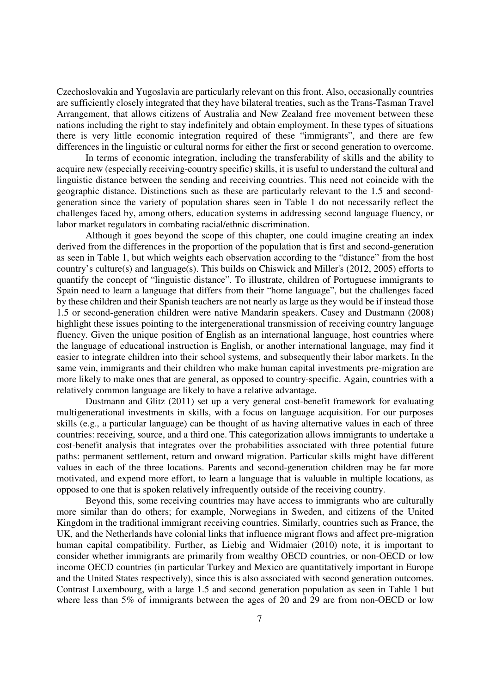Czechoslovakia and Yugoslavia are particularly relevant on this front. Also, occasionally countries are sufficiently closely integrated that they have bilateral treaties, such as the Trans-Tasman Travel Arrangement, that allows citizens of Australia and New Zealand free movement between these nations including the right to stay indefinitely and obtain employment. In these types of situations there is very little economic integration required of these "immigrants", and there are few differences in the linguistic or cultural norms for either the first or second generation to overcome.

In terms of economic integration, including the transferability of skills and the ability to acquire new (especially receiving-country specific) skills, it is useful to understand the cultural and linguistic distance between the sending and receiving countries. This need not coincide with the geographic distance. Distinctions such as these are particularly relevant to the 1.5 and secondgeneration since the variety of population shares seen in Table 1 do not necessarily reflect the challenges faced by, among others, education systems in addressing second language fluency, or labor market regulators in combating racial/ethnic discrimination.

Although it goes beyond the scope of this chapter, one could imagine creating an index derived from the differences in the proportion of the population that is first and second-generation as seen in Table 1, but which weights each observation according to the "distance" from the host country's culture(s) and language(s). This builds on Chiswick and Miller's (2012, 2005) efforts to quantify the concept of "linguistic distance". To illustrate, children of Portuguese immigrants to Spain need to learn a language that differs from their "home language", but the challenges faced by these children and their Spanish teachers are not nearly as large as they would be if instead those 1.5 or second-generation children were native Mandarin speakers. Casey and Dustmann (2008) highlight these issues pointing to the intergenerational transmission of receiving country language fluency. Given the unique position of English as an international language, host countries where the language of educational instruction is English, or another international language, may find it easier to integrate children into their school systems, and subsequently their labor markets. In the same vein, immigrants and their children who make human capital investments pre-migration are more likely to make ones that are general, as opposed to country-specific. Again, countries with a relatively common language are likely to have a relative advantage.

Dustmann and Glitz (2011) set up a very general cost-benefit framework for evaluating multigenerational investments in skills, with a focus on language acquisition. For our purposes skills (e.g., a particular language) can be thought of as having alternative values in each of three countries: receiving, source, and a third one. This categorization allows immigrants to undertake a cost-benefit analysis that integrates over the probabilities associated with three potential future paths: permanent settlement, return and onward migration. Particular skills might have different values in each of the three locations. Parents and second-generation children may be far more motivated, and expend more effort, to learn a language that is valuable in multiple locations, as opposed to one that is spoken relatively infrequently outside of the receiving country.

Beyond this, some receiving countries may have access to immigrants who are culturally more similar than do others; for example, Norwegians in Sweden, and citizens of the United Kingdom in the traditional immigrant receiving countries. Similarly, countries such as France, the UK, and the Netherlands have colonial links that influence migrant flows and affect pre-migration human capital compatibility. Further, as Liebig and Widmaier (2010) note, it is important to consider whether immigrants are primarily from wealthy OECD countries, or non-OECD or low income OECD countries (in particular Turkey and Mexico are quantitatively important in Europe and the United States respectively), since this is also associated with second generation outcomes. Contrast Luxembourg, with a large 1.5 and second generation population as seen in Table 1 but where less than 5% of immigrants between the ages of 20 and 29 are from non-OECD or low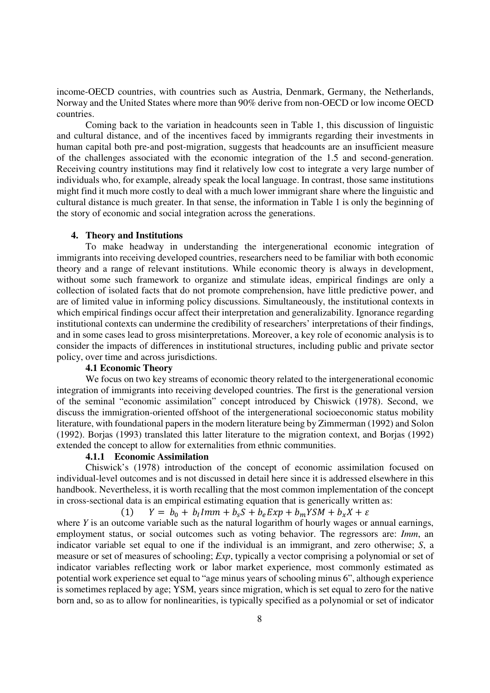income-OECD countries, with countries such as Austria, Denmark, Germany, the Netherlands, Norway and the United States where more than 90% derive from non-OECD or low income OECD countries.

Coming back to the variation in headcounts seen in Table 1, this discussion of linguistic and cultural distance, and of the incentives faced by immigrants regarding their investments in human capital both pre-and post-migration, suggests that headcounts are an insufficient measure of the challenges associated with the economic integration of the 1.5 and second-generation. Receiving country institutions may find it relatively low cost to integrate a very large number of individuals who, for example, already speak the local language. In contrast, those same institutions might find it much more costly to deal with a much lower immigrant share where the linguistic and cultural distance is much greater. In that sense, the information in Table 1 is only the beginning of the story of economic and social integration across the generations.

#### **4. Theory and Institutions**

To make headway in understanding the intergenerational economic integration of immigrants into receiving developed countries, researchers need to be familiar with both economic theory and a range of relevant institutions. While economic theory is always in development, without some such framework to organize and stimulate ideas, empirical findings are only a collection of isolated facts that do not promote comprehension, have little predictive power, and are of limited value in informing policy discussions. Simultaneously, the institutional contexts in which empirical findings occur affect their interpretation and generalizability. Ignorance regarding institutional contexts can undermine the credibility of researchers' interpretations of their findings, and in some cases lead to gross misinterpretations. Moreover, a key role of economic analysis is to consider the impacts of differences in institutional structures, including public and private sector policy, over time and across jurisdictions.

#### **4.1 Economic Theory**

We focus on two key streams of economic theory related to the intergenerational economic integration of immigrants into receiving developed countries. The first is the generational version of the seminal "economic assimilation" concept introduced by Chiswick (1978). Second, we discuss the immigration-oriented offshoot of the intergenerational socioeconomic status mobility literature, with foundational papers in the modern literature being by Zimmerman (1992) and Solon (1992). Borjas (1993) translated this latter literature to the migration context, and Borjas (1992) extended the concept to allow for externalities from ethnic communities.

#### **4.1.1 Economic Assimilation**

Chiswick's (1978) introduction of the concept of economic assimilation focused on individual-level outcomes and is not discussed in detail here since it is addressed elsewhere in this handbook. Nevertheless, it is worth recalling that the most common implementation of the concept in cross-sectional data is an empirical estimating equation that is generically written as:

### (1)  $Y = b_0 + b_l Im m + b_s S + b_e Exp + b_m Y S M + b_x X + \varepsilon$

where *Y* is an outcome variable such as the natural logarithm of hourly wages or annual earnings, employment status, or social outcomes such as voting behavior. The regressors are: *Imm*, an indicator variable set equal to one if the individual is an immigrant, and zero otherwise; *S*, a measure or set of measures of schooling; *Exp*, typically a vector comprising a polynomial or set of indicator variables reflecting work or labor market experience, most commonly estimated as potential work experience set equal to "age minus years of schooling minus 6", although experience is sometimes replaced by age; YSM, years since migration, which is set equal to zero for the native born and, so as to allow for nonlinearities, is typically specified as a polynomial or set of indicator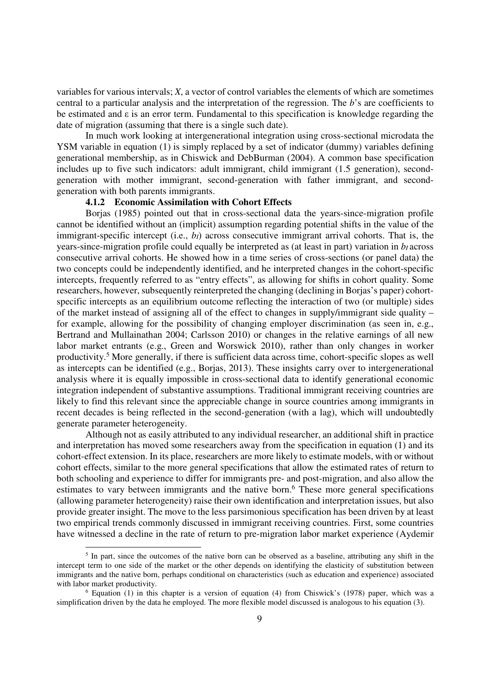variables for various intervals; *X*, a vector of control variables the elements of which are sometimes central to a particular analysis and the interpretation of the regression. The *b*'s are coefficients to be estimated and  $\varepsilon$  is an error term. Fundamental to this specification is knowledge regarding the date of migration (assuming that there is a single such date).

In much work looking at intergenerational integration using cross-sectional microdata the YSM variable in equation (1) is simply replaced by a set of indicator (dummy) variables defining generational membership, as in Chiswick and DebBurman (2004). A common base specification includes up to five such indicators: adult immigrant, child immigrant (1.5 generation), secondgeneration with mother immigrant, second-generation with father immigrant, and secondgeneration with both parents immigrants.

#### **4.1.2 Economic Assimilation with Cohort Effects**

Borjas (1985) pointed out that in cross-sectional data the years-since-migration profile cannot be identified without an (implicit) assumption regarding potential shifts in the value of the immigrant-specific intercept (i.e., *bI*) across consecutive immigrant arrival cohorts. That is, the years-since-migration profile could equally be interpreted as (at least in part) variation in *bI* across consecutive arrival cohorts. He showed how in a time series of cross-sections (or panel data) the two concepts could be independently identified, and he interpreted changes in the cohort-specific intercepts, frequently referred to as "entry effects", as allowing for shifts in cohort quality. Some researchers, however, subsequently reinterpreted the changing (declining in Borjas's paper) cohortspecific intercepts as an equilibrium outcome reflecting the interaction of two (or multiple) sides of the market instead of assigning all of the effect to changes in supply/immigrant side quality – for example, allowing for the possibility of changing employer discrimination (as seen in, e.g., Bertrand and Mullainathan 2004; Carlsson 2010) or changes in the relative earnings of all new labor market entrants (e.g., Green and Worswick 2010), rather than only changes in worker productivity.<sup>5</sup> More generally, if there is sufficient data across time, cohort-specific slopes as well as intercepts can be identified (e.g., Borjas, 2013). These insights carry over to intergenerational analysis where it is equally impossible in cross-sectional data to identify generational economic integration independent of substantive assumptions. Traditional immigrant receiving countries are likely to find this relevant since the appreciable change in source countries among immigrants in recent decades is being reflected in the second-generation (with a lag), which will undoubtedly generate parameter heterogeneity.

Although not as easily attributed to any individual researcher, an additional shift in practice and interpretation has moved some researchers away from the specification in equation (1) and its cohort-effect extension. In its place, researchers are more likely to estimate models, with or without cohort effects, similar to the more general specifications that allow the estimated rates of return to both schooling and experience to differ for immigrants pre- and post-migration, and also allow the estimates to vary between immigrants and the native born.<sup>6</sup> These more general specifications (allowing parameter heterogeneity) raise their own identification and interpretation issues, but also provide greater insight. The move to the less parsimonious specification has been driven by at least two empirical trends commonly discussed in immigrant receiving countries. First, some countries have witnessed a decline in the rate of return to pre-migration labor market experience (Aydemir

 $\overline{a}$ 

<sup>&</sup>lt;sup>5</sup> In part, since the outcomes of the native born can be observed as a baseline, attributing any shift in the intercept term to one side of the market or the other depends on identifying the elasticity of substitution between immigrants and the native born, perhaps conditional on characteristics (such as education and experience) associated with labor market productivity.

<sup>6</sup> Equation (1) in this chapter is a version of equation (4) from Chiswick's (1978) paper, which was a simplification driven by the data he employed. The more flexible model discussed is analogous to his equation (3).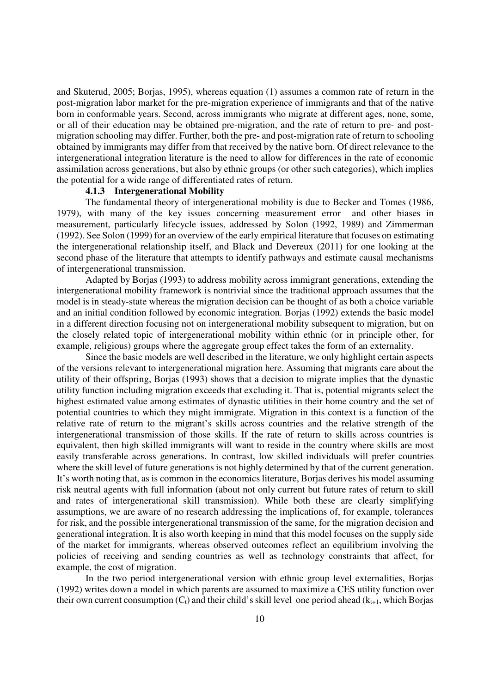and Skuterud, 2005; Borjas, 1995), whereas equation (1) assumes a common rate of return in the post-migration labor market for the pre-migration experience of immigrants and that of the native born in conformable years. Second, across immigrants who migrate at different ages, none, some, or all of their education may be obtained pre-migration, and the rate of return to pre- and postmigration schooling may differ. Further, both the pre- and post-migration rate of return to schooling obtained by immigrants may differ from that received by the native born. Of direct relevance to the intergenerational integration literature is the need to allow for differences in the rate of economic assimilation across generations, but also by ethnic groups (or other such categories), which implies the potential for a wide range of differentiated rates of return.

#### **4.1.3 Intergenerational Mobility**

The fundamental theory of intergenerational mobility is due to Becker and Tomes (1986, 1979), with many of the key issues concerning measurement error and other biases in measurement, particularly lifecycle issues, addressed by Solon (1992, 1989) and Zimmerman (1992). See Solon (1999) for an overview of the early empirical literature that focuses on estimating the intergenerational relationship itself, and Black and Devereux (2011) for one looking at the second phase of the literature that attempts to identify pathways and estimate causal mechanisms of intergenerational transmission.

Adapted by Borjas (1993) to address mobility across immigrant generations, extending the intergenerational mobility framework is nontrivial since the traditional approach assumes that the model is in steady-state whereas the migration decision can be thought of as both a choice variable and an initial condition followed by economic integration. Borjas (1992) extends the basic model in a different direction focusing not on intergenerational mobility subsequent to migration, but on the closely related topic of intergenerational mobility within ethnic (or in principle other, for example, religious) groups where the aggregate group effect takes the form of an externality.

Since the basic models are well described in the literature, we only highlight certain aspects of the versions relevant to intergenerational migration here. Assuming that migrants care about the utility of their offspring, Borjas (1993) shows that a decision to migrate implies that the dynastic utility function including migration exceeds that excluding it. That is, potential migrants select the highest estimated value among estimates of dynastic utilities in their home country and the set of potential countries to which they might immigrate. Migration in this context is a function of the relative rate of return to the migrant's skills across countries and the relative strength of the intergenerational transmission of those skills. If the rate of return to skills across countries is equivalent, then high skilled immigrants will want to reside in the country where skills are most easily transferable across generations. In contrast, low skilled individuals will prefer countries where the skill level of future generations is not highly determined by that of the current generation. It's worth noting that, as is common in the economics literature, Borjas derives his model assuming risk neutral agents with full information (about not only current but future rates of return to skill and rates of intergenerational skill transmission). While both these are clearly simplifying assumptions, we are aware of no research addressing the implications of, for example, tolerances for risk, and the possible intergenerational transmission of the same, for the migration decision and generational integration. It is also worth keeping in mind that this model focuses on the supply side of the market for immigrants, whereas observed outcomes reflect an equilibrium involving the policies of receiving and sending countries as well as technology constraints that affect, for example, the cost of migration.

In the two period intergenerational version with ethnic group level externalities, Borjas (1992) writes down a model in which parents are assumed to maximize a CES utility function over their own current consumption  $(C_t)$  and their child's skill level one period ahead  $(k_{t+1},$  which Borjas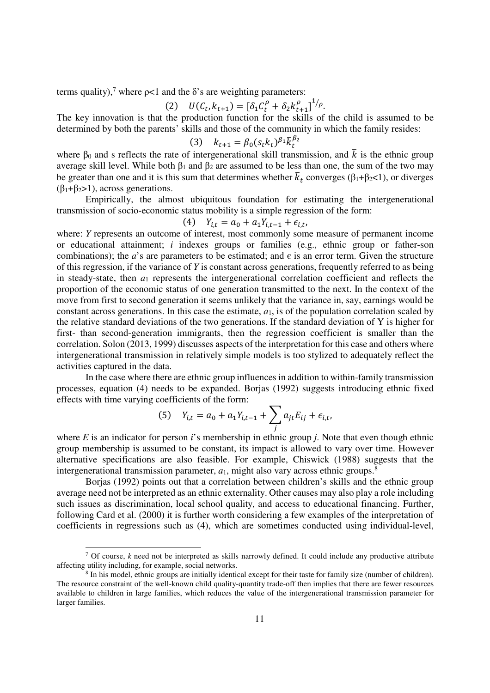terms quality),<sup>7</sup> where  $p$ <1 and the  $\delta$ 's are weighting parameters:

(2) 
$$
U(C_t, k_{t+1}) = [\delta_1 C_t^{\rho} + \delta_2 k_{t+1}^{\rho}]^{1/\rho}.
$$

The key innovation is that the production function for the skills of the child is assumed to be determined by both the parents' skills and those of the community in which the family resides:

(3) 
$$
k_{t+1} = \beta_0 (s_t k_t)^{\beta_1} \bar{k}_t^{\beta_2}
$$

where  $\beta_0$  and s reflects the rate of intergenerational skill transmission, and  $\overline{k}$  is the ethnic group average skill level. While both  $\beta_1$  and  $\beta_2$  are assumed to be less than one, the sum of the two may be greater than one and it is this sum that determines whether  $\bar{k}_t$  converges ( $\beta_1 + \beta_2 < 1$ ), or diverges  $(\beta_1+\beta_2>1)$ , across generations.

Empirically, the almost ubiquitous foundation for estimating the intergenerational transmission of socio-economic status mobility is a simple regression of the form:

(4) 
$$
Y_{i,t} = a_0 + a_1 Y_{i,t-1} + \epsilon_{i,t}
$$

where: *Y* represents an outcome of interest, most commonly some measure of permanent income or educational attainment; *i* indexes groups or families (e.g., ethnic group or father-son combinations); the *a*'s are parameters to be estimated; and  $\epsilon$  is an error term. Given the structure of this regression, if the variance of *Y* is constant across generations, frequently referred to as being in steady-state, then *a*1 represents the intergenerational correlation coefficient and reflects the proportion of the economic status of one generation transmitted to the next. In the context of the move from first to second generation it seems unlikely that the variance in, say, earnings would be constant across generations. In this case the estimate, *a*1, is of the population correlation scaled by the relative standard deviations of the two generations. If the standard deviation of Y is higher for first- than second-generation immigrants, then the regression coefficient is smaller than the correlation. Solon (2013, 1999) discusses aspects of the interpretation for this case and others where intergenerational transmission in relatively simple models is too stylized to adequately reflect the activities captured in the data.

In the case where there are ethnic group influences in addition to within-family transmission processes, equation (4) needs to be expanded. Borjas (1992) suggests introducing ethnic fixed effects with time varying coefficients of the form:

(5) 
$$
Y_{i,t} = a_0 + a_1 Y_{i,t-1} + \sum_j a_{jt} E_{ij} + \epsilon_{i,t}
$$

where *E* is an indicator for person *i*'s membership in ethnic group *j*. Note that even though ethnic group membership is assumed to be constant, its impact is allowed to vary over time. However alternative specifications are also feasible. For example, Chiswick (1988) suggests that the intergenerational transmission parameter, *a*1, might also vary across ethnic groups.<sup>8</sup>

 Borjas (1992) points out that a correlation between children's skills and the ethnic group average need not be interpreted as an ethnic externality. Other causes may also play a role including such issues as discrimination, local school quality, and access to educational financing. Further, following Card et al. (2000) it is further worth considering a few examples of the interpretation of coefficients in regressions such as (4), which are sometimes conducted using individual-level,

 $\overline{a}$ 

<sup>7</sup> Of course, *k* need not be interpreted as skills narrowly defined. It could include any productive attribute affecting utility including, for example, social networks.

<sup>&</sup>lt;sup>8</sup> In his model, ethnic groups are initially identical except for their taste for family size (number of children). The resource constraint of the well-known child quality-quantity trade-off then implies that there are fewer resources available to children in large families, which reduces the value of the intergenerational transmission parameter for larger families.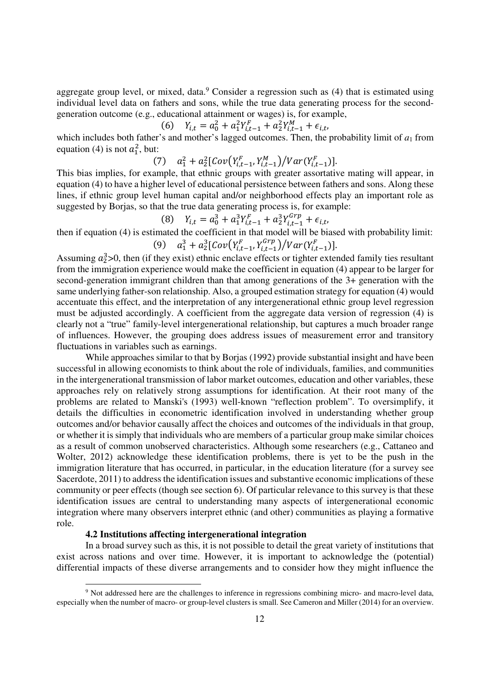aggregate group level, or mixed, data.<sup>9</sup> Consider a regression such as (4) that is estimated using individual level data on fathers and sons, while the true data generating process for the secondgeneration outcome (e.g., educational attainment or wages) is, for example,

(6) 
$$
Y_{i,t} = a_0^2 + a_1^2 Y_{i,t-1}^F + a_2^2 Y_{i,t-1}^M + \epsilon_{i,t}
$$

which includes both father's and mother's lagged outcomes. Then, the probability limit of  $a_1$  from equation (4) is not  $a_1^2$ , but:

(7) 
$$
a_1^2 + a_2^2 \left[ \text{Cov}(Y_{i,t-1}^F, Y_{i,t-1}^M) / \text{Var}(Y_{i,t-1}^F) \right].
$$

This bias implies, for example, that ethnic groups with greater assortative mating will appear, in equation (4) to have a higher level of educational persistence between fathers and sons. Along these lines, if ethnic group level human capital and/or neighborhood effects play an important role as suggested by Borjas, so that the true data generating process is, for example:

(8) 
$$
Y_{i,t} = a_0^3 + a_1^3 Y_{i,t-1}^F + a_2^3 Y_{i,t-1}^{Grp} + \epsilon_{i,t}
$$
,

then if equation (4) is estimated the coefficient in that model will be biased with probability limit: (9)  $a_1^3 + a_2^3 \left[ \frac{Cov(Y_{i,t-1}^F, Y_{i,t-1}^{Grp})}{V_{i,t-1}} \right]$ 

Assuming  $a_2^3$ >0, then (if they exist) ethnic enclave effects or tighter extended family ties resultant from the immigration experience would make the coefficient in equation (4) appear to be larger for second-generation immigrant children than that among generations of the 3+ generation with the same underlying father-son relationship. Also, a grouped estimation strategy for equation (4) would accentuate this effect, and the interpretation of any intergenerational ethnic group level regression must be adjusted accordingly. A coefficient from the aggregate data version of regression (4) is clearly not a "true" family-level intergenerational relationship, but captures a much broader range of influences. However, the grouping does address issues of measurement error and transitory fluctuations in variables such as earnings.

While approaches similar to that by Borias (1992) provide substantial insight and have been successful in allowing economists to think about the role of individuals, families, and communities in the intergenerational transmission of labor market outcomes, education and other variables, these approaches rely on relatively strong assumptions for identification. At their root many of the problems are related to Manski's (1993) well-known "reflection problem". To oversimplify, it details the difficulties in econometric identification involved in understanding whether group outcomes and/or behavior causally affect the choices and outcomes of the individuals in that group, or whether it is simply that individuals who are members of a particular group make similar choices as a result of common unobserved characteristics. Although some researchers (e.g., Cattaneo and Wolter, 2012) acknowledge these identification problems, there is yet to be the push in the immigration literature that has occurred, in particular, in the education literature (for a survey see Sacerdote, 2011) to address the identification issues and substantive economic implications of these community or peer effects (though see section 6). Of particular relevance to this survey is that these identification issues are central to understanding many aspects of intergenerational economic integration where many observers interpret ethnic (and other) communities as playing a formative role.

#### **4.2 Institutions affecting intergenerational integration**

In a broad survey such as this, it is not possible to detail the great variety of institutions that exist across nations and over time. However, it is important to acknowledge the (potential) differential impacts of these diverse arrangements and to consider how they might influence the

<sup>&</sup>lt;sup>9</sup> Not addressed here are the challenges to inference in regressions combining micro- and macro-level data, especially when the number of macro- or group-level clusters is small. See Cameron and Miller (2014) for an overview.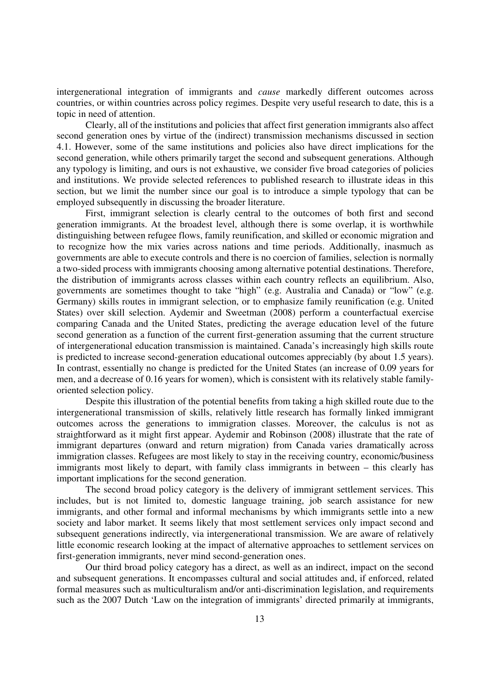intergenerational integration of immigrants and *cause* markedly different outcomes across countries, or within countries across policy regimes. Despite very useful research to date, this is a topic in need of attention.

Clearly, all of the institutions and policies that affect first generation immigrants also affect second generation ones by virtue of the (indirect) transmission mechanisms discussed in section 4.1. However, some of the same institutions and policies also have direct implications for the second generation, while others primarily target the second and subsequent generations. Although any typology is limiting, and ours is not exhaustive, we consider five broad categories of policies and institutions. We provide selected references to published research to illustrate ideas in this section, but we limit the number since our goal is to introduce a simple typology that can be employed subsequently in discussing the broader literature.

First, immigrant selection is clearly central to the outcomes of both first and second generation immigrants. At the broadest level, although there is some overlap, it is worthwhile distinguishing between refugee flows, family reunification, and skilled or economic migration and to recognize how the mix varies across nations and time periods. Additionally, inasmuch as governments are able to execute controls and there is no coercion of families, selection is normally a two-sided process with immigrants choosing among alternative potential destinations. Therefore, the distribution of immigrants across classes within each country reflects an equilibrium. Also, governments are sometimes thought to take "high" (e.g. Australia and Canada) or "low" (e.g. Germany) skills routes in immigrant selection, or to emphasize family reunification (e.g. United States) over skill selection. Aydemir and Sweetman (2008) perform a counterfactual exercise comparing Canada and the United States, predicting the average education level of the future second generation as a function of the current first-generation assuming that the current structure of intergenerational education transmission is maintained. Canada's increasingly high skills route is predicted to increase second-generation educational outcomes appreciably (by about 1.5 years). In contrast, essentially no change is predicted for the United States (an increase of 0.09 years for men, and a decrease of 0.16 years for women), which is consistent with its relatively stable familyoriented selection policy.

Despite this illustration of the potential benefits from taking a high skilled route due to the intergenerational transmission of skills, relatively little research has formally linked immigrant outcomes across the generations to immigration classes. Moreover, the calculus is not as straightforward as it might first appear. Aydemir and Robinson (2008) illustrate that the rate of immigrant departures (onward and return migration) from Canada varies dramatically across immigration classes. Refugees are most likely to stay in the receiving country, economic/business immigrants most likely to depart, with family class immigrants in between – this clearly has important implications for the second generation.

The second broad policy category is the delivery of immigrant settlement services. This includes, but is not limited to, domestic language training, job search assistance for new immigrants, and other formal and informal mechanisms by which immigrants settle into a new society and labor market. It seems likely that most settlement services only impact second and subsequent generations indirectly, via intergenerational transmission. We are aware of relatively little economic research looking at the impact of alternative approaches to settlement services on first-generation immigrants, never mind second-generation ones.

Our third broad policy category has a direct, as well as an indirect, impact on the second and subsequent generations. It encompasses cultural and social attitudes and, if enforced, related formal measures such as multiculturalism and/or anti-discrimination legislation, and requirements such as the 2007 Dutch 'Law on the integration of immigrants' directed primarily at immigrants,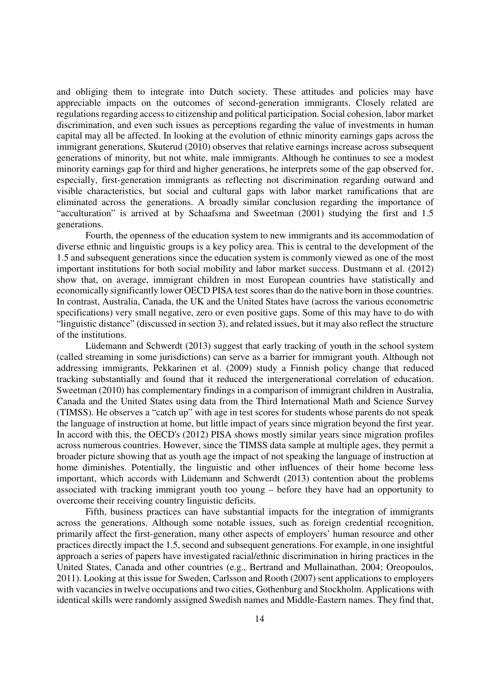and obliging them to integrate into Dutch society. These attitudes and policies may have appreciable impacts on the outcomes of second-generation immigrants. Closely related are regulations regarding access to citizenship and political participation. Social cohesion, labor market discrimination, and even such issues as perceptions regarding the value of investments in human capital may all be affected. In looking at the evolution of ethnic minority earnings gaps across the immigrant generations, Skuterud (2010) observes that relative earnings increase across subsequent generations of minority, but not white, male immigrants. Although he continues to see a modest minority earnings gap for third and higher generations, he interprets some of the gap observed for, especially, first-generation immigrants as reflecting not discrimination regarding outward and visible characteristics, but social and cultural gaps with labor market ramifications that are eliminated across the generations. A broadly similar conclusion regarding the importance of "acculturation" is arrived at by Schaafsma and Sweetman (2001) studying the first and 1.5 generations.

Fourth, the openness of the education system to new immigrants and its accommodation of diverse ethnic and linguistic groups is a key policy area. This is central to the development of the 1.5 and subsequent generations since the education system is commonly viewed as one of the most important institutions for both social mobility and labor market success. Dustmann et al. (2012) show that, on average, immigrant children in most European countries have statistically and economically significantly lower OECD PISA test scores than do the native born in those countries. In contrast, Australia, Canada, the UK and the United States have (across the various econometric specifications) very small negative, zero or even positive gaps. Some of this may have to do with "linguistic distance" (discussed in section 3), and related issues, but it may also reflect the structure of the institutions.

Lüdemann and Schwerdt (2013) suggest that early tracking of youth in the school system (called streaming in some jurisdictions) can serve as a barrier for immigrant youth. Although not addressing immigrants, Pekkarinen et al. (2009) study a Finnish policy change that reduced tracking substantially and found that it reduced the intergenerational correlation of education. Sweetman (2010) has complementary findings in a comparison of immigrant children in Australia, Canada and the United States using data from the Third International Math and Science Survey (TIMSS). He observes a "catch up" with age in test scores for students whose parents do not speak the language of instruction at home, but little impact of years since migration beyond the first year. In accord with this, the OECD's (2012) PISA shows mostly similar years since migration profiles across numerous countries. However, since the TIMSS data sample at multiple ages, they permit a broader picture showing that as youth age the impact of not speaking the language of instruction at home diminishes. Potentially, the linguistic and other influences of their home become less important, which accords with Lüdemann and Schwerdt (2013) contention about the problems associated with tracking immigrant youth too young – before they have had an opportunity to overcome their receiving country linguistic deficits.

Fifth, business practices can have substantial impacts for the integration of immigrants across the generations. Although some notable issues, such as foreign credential recognition, primarily affect the first-generation, many other aspects of employers' human resource and other practices directly impact the 1.5, second and subsequent generations. For example, in one insightful approach a series of papers have investigated racial/ethnic discrimination in hiring practices in the United States, Canada and other countries (e.g., Bertrand and Mullainathan, 2004; Oreopoulos, 2011). Looking at this issue for Sweden, Carlsson and Rooth (2007) sent applications to employers with vacancies in twelve occupations and two cities, Gothenburg and Stockholm. Applications with identical skills were randomly assigned Swedish names and Middle-Eastern names. They find that,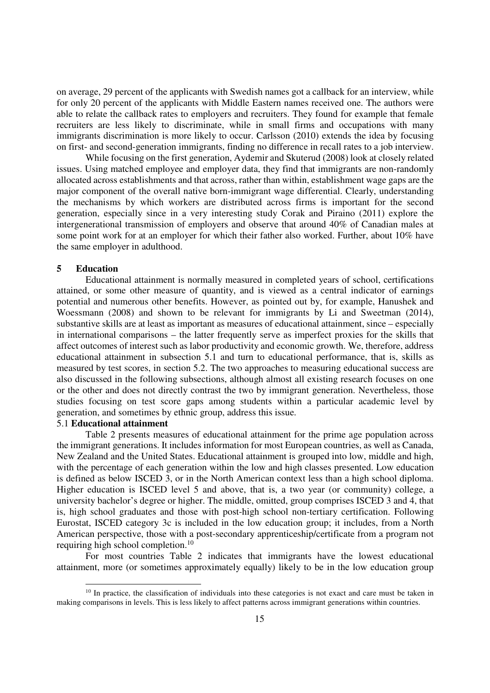on average, 29 percent of the applicants with Swedish names got a callback for an interview, while for only 20 percent of the applicants with Middle Eastern names received one. The authors were able to relate the callback rates to employers and recruiters. They found for example that female recruiters are less likely to discriminate, while in small firms and occupations with many immigrants discrimination is more likely to occur. Carlsson (2010) extends the idea by focusing on first- and second-generation immigrants, finding no difference in recall rates to a job interview.

While focusing on the first generation, Aydemir and Skuterud (2008) look at closely related issues. Using matched employee and employer data, they find that immigrants are non-randomly allocated across establishments and that across, rather than within, establishment wage gaps are the major component of the overall native born-immigrant wage differential. Clearly, understanding the mechanisms by which workers are distributed across firms is important for the second generation, especially since in a very interesting study Corak and Piraino (2011) explore the intergenerational transmission of employers and observe that around 40% of Canadian males at some point work for at an employer for which their father also worked. Further, about 10% have the same employer in adulthood.

#### **5 Education**

Educational attainment is normally measured in completed years of school, certifications attained, or some other measure of quantity, and is viewed as a central indicator of earnings potential and numerous other benefits. However, as pointed out by, for example, Hanushek and Woessmann (2008) and shown to be relevant for immigrants by Li and Sweetman (2014), substantive skills are at least as important as measures of educational attainment, since – especially in international comparisons – the latter frequently serve as imperfect proxies for the skills that affect outcomes of interest such as labor productivity and economic growth. We, therefore, address educational attainment in subsection 5.1 and turn to educational performance, that is, skills as measured by test scores, in section 5.2. The two approaches to measuring educational success are also discussed in the following subsections, although almost all existing research focuses on one or the other and does not directly contrast the two by immigrant generation. Nevertheless, those studies focusing on test score gaps among students within a particular academic level by generation, and sometimes by ethnic group, address this issue.

#### 5.1 **Educational attainment**

Table 2 presents measures of educational attainment for the prime age population across the immigrant generations. It includes information for most European countries, as well as Canada, New Zealand and the United States. Educational attainment is grouped into low, middle and high, with the percentage of each generation within the low and high classes presented. Low education is defined as below ISCED 3, or in the North American context less than a high school diploma. Higher education is ISCED level 5 and above, that is, a two year (or community) college, a university bachelor's degree or higher. The middle, omitted, group comprises ISCED 3 and 4, that is, high school graduates and those with post-high school non-tertiary certification. Following Eurostat, ISCED category 3c is included in the low education group; it includes, from a North American perspective, those with a post-secondary apprenticeship/certificate from a program not requiring high school completion.<sup>10</sup>

For most countries Table 2 indicates that immigrants have the lowest educational attainment, more (or sometimes approximately equally) likely to be in the low education group

<sup>&</sup>lt;sup>10</sup> In practice, the classification of individuals into these categories is not exact and care must be taken in making comparisons in levels. This is less likely to affect patterns across immigrant generations within countries.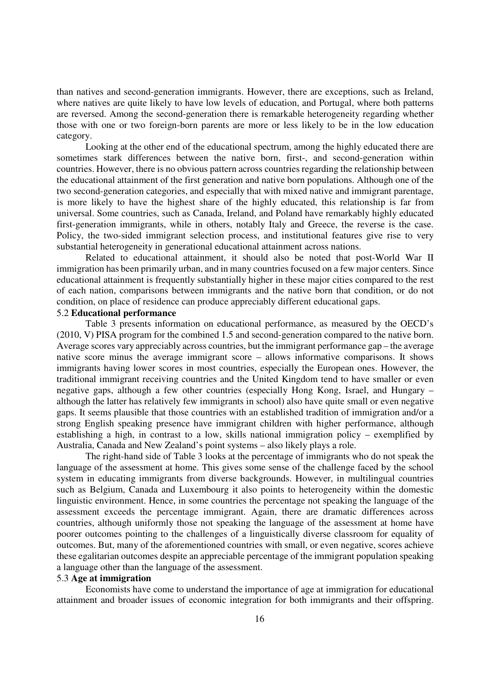than natives and second-generation immigrants. However, there are exceptions, such as Ireland, where natives are quite likely to have low levels of education, and Portugal, where both patterns are reversed. Among the second-generation there is remarkable heterogeneity regarding whether those with one or two foreign-born parents are more or less likely to be in the low education category.

Looking at the other end of the educational spectrum, among the highly educated there are sometimes stark differences between the native born, first-, and second-generation within countries. However, there is no obvious pattern across countries regarding the relationship between the educational attainment of the first generation and native born populations. Although one of the two second-generation categories, and especially that with mixed native and immigrant parentage, is more likely to have the highest share of the highly educated, this relationship is far from universal. Some countries, such as Canada, Ireland, and Poland have remarkably highly educated first-generation immigrants, while in others, notably Italy and Greece, the reverse is the case. Policy, the two-sided immigrant selection process, and institutional features give rise to very substantial heterogeneity in generational educational attainment across nations.

Related to educational attainment, it should also be noted that post-World War II immigration has been primarily urban, and in many countries focused on a few major centers. Since educational attainment is frequently substantially higher in these major cities compared to the rest of each nation, comparisons between immigrants and the native born that condition, or do not condition, on place of residence can produce appreciably different educational gaps.

#### 5.2 **Educational performance**

Table 3 presents information on educational performance, as measured by the OECD's (2010, V) PISA program for the combined 1.5 and second-generation compared to the native born. Average scores vary appreciably across countries, but the immigrant performance gap – the average native score minus the average immigrant score – allows informative comparisons. It shows immigrants having lower scores in most countries, especially the European ones. However, the traditional immigrant receiving countries and the United Kingdom tend to have smaller or even negative gaps, although a few other countries (especially Hong Kong, Israel, and Hungary – although the latter has relatively few immigrants in school) also have quite small or even negative gaps. It seems plausible that those countries with an established tradition of immigration and/or a strong English speaking presence have immigrant children with higher performance, although establishing a high, in contrast to a low, skills national immigration policy – exemplified by Australia, Canada and New Zealand's point systems – also likely plays a role.

The right-hand side of Table 3 looks at the percentage of immigrants who do not speak the language of the assessment at home. This gives some sense of the challenge faced by the school system in educating immigrants from diverse backgrounds. However, in multilingual countries such as Belgium, Canada and Luxembourg it also points to heterogeneity within the domestic linguistic environment. Hence, in some countries the percentage not speaking the language of the assessment exceeds the percentage immigrant. Again, there are dramatic differences across countries, although uniformly those not speaking the language of the assessment at home have poorer outcomes pointing to the challenges of a linguistically diverse classroom for equality of outcomes. But, many of the aforementioned countries with small, or even negative, scores achieve these egalitarian outcomes despite an appreciable percentage of the immigrant population speaking a language other than the language of the assessment.

#### 5.3 **Age at immigration**

Economists have come to understand the importance of age at immigration for educational attainment and broader issues of economic integration for both immigrants and their offspring.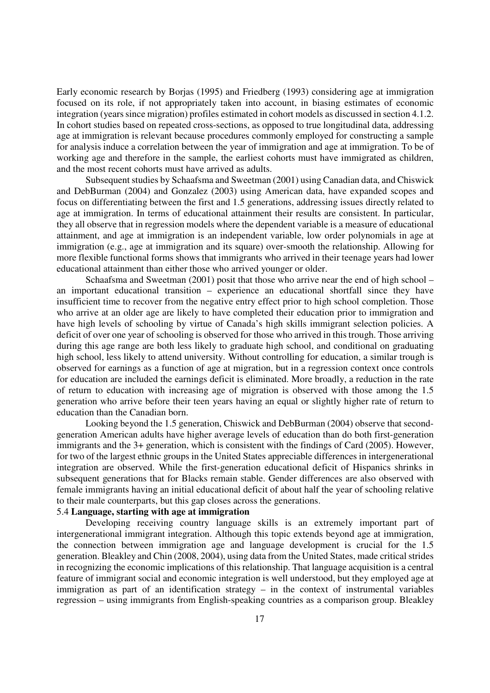Early economic research by Borjas (1995) and Friedberg (1993) considering age at immigration focused on its role, if not appropriately taken into account, in biasing estimates of economic integration (years since migration) profiles estimated in cohort models as discussed in section 4.1.2. In cohort studies based on repeated cross-sections, as opposed to true longitudinal data, addressing age at immigration is relevant because procedures commonly employed for constructing a sample for analysis induce a correlation between the year of immigration and age at immigration. To be of working age and therefore in the sample, the earliest cohorts must have immigrated as children, and the most recent cohorts must have arrived as adults.

Subsequent studies by Schaafsma and Sweetman (2001) using Canadian data, and Chiswick and DebBurman (2004) and Gonzalez (2003) using American data, have expanded scopes and focus on differentiating between the first and 1.5 generations, addressing issues directly related to age at immigration. In terms of educational attainment their results are consistent. In particular, they all observe that in regression models where the dependent variable is a measure of educational attainment, and age at immigration is an independent variable, low order polynomials in age at immigration (e.g., age at immigration and its square) over-smooth the relationship. Allowing for more flexible functional forms shows that immigrants who arrived in their teenage years had lower educational attainment than either those who arrived younger or older.

Schaafsma and Sweetman (2001) posit that those who arrive near the end of high school – an important educational transition – experience an educational shortfall since they have insufficient time to recover from the negative entry effect prior to high school completion. Those who arrive at an older age are likely to have completed their education prior to immigration and have high levels of schooling by virtue of Canada's high skills immigrant selection policies. A deficit of over one year of schooling is observed for those who arrived in this trough. Those arriving during this age range are both less likely to graduate high school, and conditional on graduating high school, less likely to attend university. Without controlling for education, a similar trough is observed for earnings as a function of age at migration, but in a regression context once controls for education are included the earnings deficit is eliminated. More broadly, a reduction in the rate of return to education with increasing age of migration is observed with those among the 1.5 generation who arrive before their teen years having an equal or slightly higher rate of return to education than the Canadian born.

Looking beyond the 1.5 generation, Chiswick and DebBurman (2004) observe that secondgeneration American adults have higher average levels of education than do both first-generation immigrants and the 3+ generation, which is consistent with the findings of Card (2005). However, for two of the largest ethnic groups in the United States appreciable differences in intergenerational integration are observed. While the first-generation educational deficit of Hispanics shrinks in subsequent generations that for Blacks remain stable. Gender differences are also observed with female immigrants having an initial educational deficit of about half the year of schooling relative to their male counterparts, but this gap closes across the generations.

#### 5.4 **Language, starting with age at immigration**

Developing receiving country language skills is an extremely important part of intergenerational immigrant integration. Although this topic extends beyond age at immigration, the connection between immigration age and language development is crucial for the 1.5 generation. Bleakley and Chin (2008, 2004), using data from the United States, made critical strides in recognizing the economic implications of this relationship. That language acquisition is a central feature of immigrant social and economic integration is well understood, but they employed age at immigration as part of an identification strategy – in the context of instrumental variables regression – using immigrants from English-speaking countries as a comparison group. Bleakley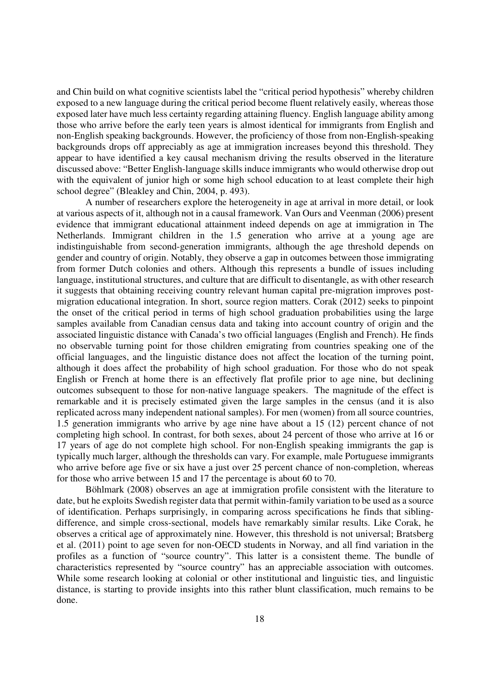and Chin build on what cognitive scientists label the "critical period hypothesis" whereby children exposed to a new language during the critical period become fluent relatively easily, whereas those exposed later have much less certainty regarding attaining fluency. English language ability among those who arrive before the early teen years is almost identical for immigrants from English and non-English speaking backgrounds. However, the proficiency of those from non-English-speaking backgrounds drops off appreciably as age at immigration increases beyond this threshold. They appear to have identified a key causal mechanism driving the results observed in the literature discussed above: "Better English-language skills induce immigrants who would otherwise drop out with the equivalent of junior high or some high school education to at least complete their high school degree" (Bleakley and Chin, 2004, p. 493).

A number of researchers explore the heterogeneity in age at arrival in more detail, or look at various aspects of it, although not in a causal framework. Van Ours and Veenman (2006) present evidence that immigrant educational attainment indeed depends on age at immigration in The Netherlands. Immigrant children in the 1.5 generation who arrive at a young age are indistinguishable from second-generation immigrants, although the age threshold depends on gender and country of origin. Notably, they observe a gap in outcomes between those immigrating from former Dutch colonies and others. Although this represents a bundle of issues including language, institutional structures, and culture that are difficult to disentangle, as with other research it suggests that obtaining receiving country relevant human capital pre-migration improves postmigration educational integration. In short, source region matters. Corak (2012) seeks to pinpoint the onset of the critical period in terms of high school graduation probabilities using the large samples available from Canadian census data and taking into account country of origin and the associated linguistic distance with Canada's two official languages (English and French). He finds no observable turning point for those children emigrating from countries speaking one of the official languages, and the linguistic distance does not affect the location of the turning point, although it does affect the probability of high school graduation. For those who do not speak English or French at home there is an effectively flat profile prior to age nine, but declining outcomes subsequent to those for non-native language speakers. The magnitude of the effect is remarkable and it is precisely estimated given the large samples in the census (and it is also replicated across many independent national samples). For men (women) from all source countries, 1.5 generation immigrants who arrive by age nine have about a 15 (12) percent chance of not completing high school. In contrast, for both sexes, about 24 percent of those who arrive at 16 or 17 years of age do not complete high school. For non-English speaking immigrants the gap is typically much larger, although the thresholds can vary. For example, male Portuguese immigrants who arrive before age five or six have a just over 25 percent chance of non-completion, whereas for those who arrive between 15 and 17 the percentage is about 60 to 70.

Böhlmark (2008) observes an age at immigration profile consistent with the literature to date, but he exploits Swedish register data that permit within-family variation to be used as a source of identification. Perhaps surprisingly, in comparing across specifications he finds that siblingdifference, and simple cross-sectional, models have remarkably similar results. Like Corak, he observes a critical age of approximately nine. However, this threshold is not universal; Bratsberg et al. (2011) point to age seven for non-OECD students in Norway, and all find variation in the profiles as a function of "source country". This latter is a consistent theme. The bundle of characteristics represented by "source country" has an appreciable association with outcomes. While some research looking at colonial or other institutional and linguistic ties, and linguistic distance, is starting to provide insights into this rather blunt classification, much remains to be done.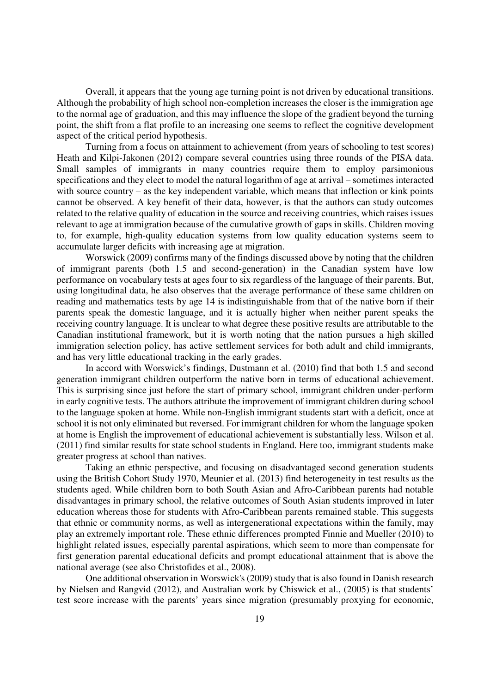Overall, it appears that the young age turning point is not driven by educational transitions. Although the probability of high school non-completion increases the closer is the immigration age to the normal age of graduation, and this may influence the slope of the gradient beyond the turning point, the shift from a flat profile to an increasing one seems to reflect the cognitive development aspect of the critical period hypothesis.

Turning from a focus on attainment to achievement (from years of schooling to test scores) Heath and Kilpi-Jakonen (2012) compare several countries using three rounds of the PISA data. Small samples of immigrants in many countries require them to employ parsimonious specifications and they elect to model the natural logarithm of age at arrival – sometimes interacted with source country – as the key independent variable, which means that inflection or kink points cannot be observed. A key benefit of their data, however, is that the authors can study outcomes related to the relative quality of education in the source and receiving countries, which raises issues relevant to age at immigration because of the cumulative growth of gaps in skills. Children moving to, for example, high-quality education systems from low quality education systems seem to accumulate larger deficits with increasing age at migration.

 Worswick (2009) confirms many of the findings discussed above by noting that the children of immigrant parents (both 1.5 and second-generation) in the Canadian system have low performance on vocabulary tests at ages four to six regardless of the language of their parents. But, using longitudinal data, he also observes that the average performance of these same children on reading and mathematics tests by age 14 is indistinguishable from that of the native born if their parents speak the domestic language, and it is actually higher when neither parent speaks the receiving country language. It is unclear to what degree these positive results are attributable to the Canadian institutional framework, but it is worth noting that the nation pursues a high skilled immigration selection policy, has active settlement services for both adult and child immigrants, and has very little educational tracking in the early grades.

In accord with Worswick's findings, Dustmann et al. (2010) find that both 1.5 and second generation immigrant children outperform the native born in terms of educational achievement. This is surprising since just before the start of primary school, immigrant children under-perform in early cognitive tests. The authors attribute the improvement of immigrant children during school to the language spoken at home. While non-English immigrant students start with a deficit, once at school it is not only eliminated but reversed. For immigrant children for whom the language spoken at home is English the improvement of educational achievement is substantially less. Wilson et al. (2011) find similar results for state school students in England. Here too, immigrant students make greater progress at school than natives.

Taking an ethnic perspective, and focusing on disadvantaged second generation students using the British Cohort Study 1970, Meunier et al. (2013) find heterogeneity in test results as the students aged. While children born to both South Asian and Afro-Caribbean parents had notable disadvantages in primary school, the relative outcomes of South Asian students improved in later education whereas those for students with Afro-Caribbean parents remained stable. This suggests that ethnic or community norms, as well as intergenerational expectations within the family, may play an extremely important role. These ethnic differences prompted Finnie and Mueller (2010) to highlight related issues, especially parental aspirations, which seem to more than compensate for first generation parental educational deficits and prompt educational attainment that is above the national average (see also Christofides et al., 2008).

One additional observation in Worswick's (2009) study that is also found in Danish research by Nielsen and Rangvid (2012), and Australian work by Chiswick et al., (2005) is that students' test score increase with the parents' years since migration (presumably proxying for economic,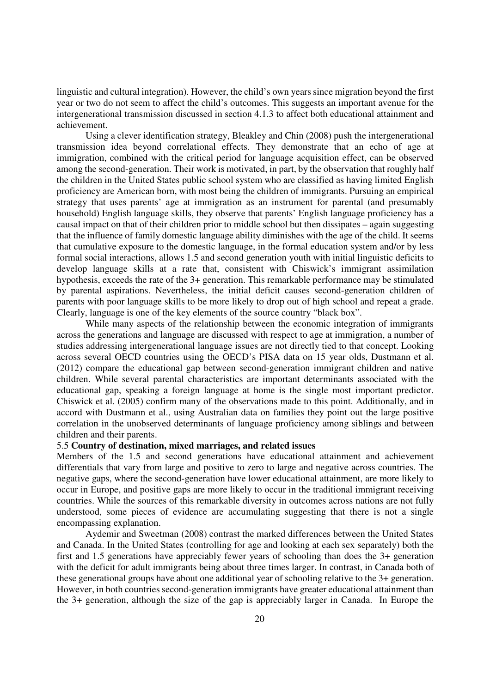linguistic and cultural integration). However, the child's own years since migration beyond the first year or two do not seem to affect the child's outcomes. This suggests an important avenue for the intergenerational transmission discussed in section 4.1.3 to affect both educational attainment and achievement.

Using a clever identification strategy, Bleakley and Chin (2008) push the intergenerational transmission idea beyond correlational effects. They demonstrate that an echo of age at immigration, combined with the critical period for language acquisition effect, can be observed among the second-generation. Their work is motivated, in part, by the observation that roughly half the children in the United States public school system who are classified as having limited English proficiency are American born, with most being the children of immigrants. Pursuing an empirical strategy that uses parents' age at immigration as an instrument for parental (and presumably household) English language skills, they observe that parents' English language proficiency has a causal impact on that of their children prior to middle school but then dissipates – again suggesting that the influence of family domestic language ability diminishes with the age of the child. It seems that cumulative exposure to the domestic language, in the formal education system and/or by less formal social interactions, allows 1.5 and second generation youth with initial linguistic deficits to develop language skills at a rate that, consistent with Chiswick's immigrant assimilation hypothesis, exceeds the rate of the 3+ generation. This remarkable performance may be stimulated by parental aspirations. Nevertheless, the initial deficit causes second-generation children of parents with poor language skills to be more likely to drop out of high school and repeat a grade. Clearly, language is one of the key elements of the source country "black box".

While many aspects of the relationship between the economic integration of immigrants across the generations and language are discussed with respect to age at immigration, a number of studies addressing intergenerational language issues are not directly tied to that concept. Looking across several OECD countries using the OECD's PISA data on 15 year olds, Dustmann et al. (2012) compare the educational gap between second-generation immigrant children and native children. While several parental characteristics are important determinants associated with the educational gap, speaking a foreign language at home is the single most important predictor. Chiswick et al. (2005) confirm many of the observations made to this point. Additionally, and in accord with Dustmann et al., using Australian data on families they point out the large positive correlation in the unobserved determinants of language proficiency among siblings and between children and their parents.

#### 5.5 **Country of destination, mixed marriages, and related issues**

Members of the 1.5 and second generations have educational attainment and achievement differentials that vary from large and positive to zero to large and negative across countries. The negative gaps, where the second-generation have lower educational attainment, are more likely to occur in Europe, and positive gaps are more likely to occur in the traditional immigrant receiving countries. While the sources of this remarkable diversity in outcomes across nations are not fully understood, some pieces of evidence are accumulating suggesting that there is not a single encompassing explanation.

 Aydemir and Sweetman (2008) contrast the marked differences between the United States and Canada. In the United States (controlling for age and looking at each sex separately) both the first and 1.5 generations have appreciably fewer years of schooling than does the 3+ generation with the deficit for adult immigrants being about three times larger. In contrast, in Canada both of these generational groups have about one additional year of schooling relative to the 3+ generation. However, in both countries second-generation immigrants have greater educational attainment than the 3+ generation, although the size of the gap is appreciably larger in Canada. In Europe the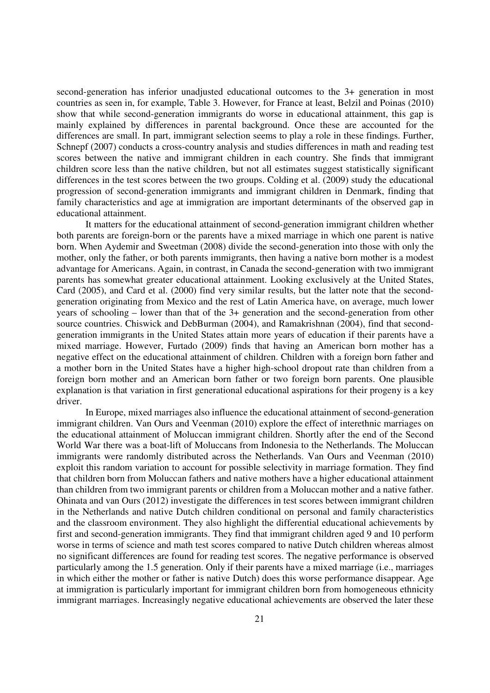second-generation has inferior unadjusted educational outcomes to the 3+ generation in most countries as seen in, for example, Table 3. However, for France at least, Belzil and Poinas (2010) show that while second-generation immigrants do worse in educational attainment, this gap is mainly explained by differences in parental background. Once these are accounted for the differences are small. In part, immigrant selection seems to play a role in these findings. Further, Schnepf (2007) conducts a cross-country analysis and studies differences in math and reading test scores between the native and immigrant children in each country. She finds that immigrant children score less than the native children, but not all estimates suggest statistically significant differences in the test scores between the two groups. Colding et al. (2009) study the educational progression of second-generation immigrants and immigrant children in Denmark, finding that family characteristics and age at immigration are important determinants of the observed gap in educational attainment.

It matters for the educational attainment of second-generation immigrant children whether both parents are foreign-born or the parents have a mixed marriage in which one parent is native born. When Aydemir and Sweetman (2008) divide the second-generation into those with only the mother, only the father, or both parents immigrants, then having a native born mother is a modest advantage for Americans. Again, in contrast, in Canada the second-generation with two immigrant parents has somewhat greater educational attainment. Looking exclusively at the United States, Card (2005), and Card et al. (2000) find very similar results, but the latter note that the secondgeneration originating from Mexico and the rest of Latin America have, on average, much lower years of schooling – lower than that of the 3+ generation and the second-generation from other source countries. Chiswick and DebBurman (2004), and Ramakrishnan (2004), find that secondgeneration immigrants in the United States attain more years of education if their parents have a mixed marriage. However, Furtado (2009) finds that having an American born mother has a negative effect on the educational attainment of children. Children with a foreign born father and a mother born in the United States have a higher high-school dropout rate than children from a foreign born mother and an American born father or two foreign born parents. One plausible explanation is that variation in first generational educational aspirations for their progeny is a key driver.

In Europe, mixed marriages also influence the educational attainment of second-generation immigrant children. Van Ours and Veenman (2010) explore the effect of interethnic marriages on the educational attainment of Moluccan immigrant children. Shortly after the end of the Second World War there was a boat-lift of Moluccans from Indonesia to the Netherlands. The Moluccan immigrants were randomly distributed across the Netherlands. Van Ours and Veenman (2010) exploit this random variation to account for possible selectivity in marriage formation. They find that children born from Moluccan fathers and native mothers have a higher educational attainment than children from two immigrant parents or children from a Moluccan mother and a native father. Ohinata and van Ours (2012) investigate the differences in test scores between immigrant children in the Netherlands and native Dutch children conditional on personal and family characteristics and the classroom environment. They also highlight the differential educational achievements by first and second-generation immigrants. They find that immigrant children aged 9 and 10 perform worse in terms of science and math test scores compared to native Dutch children whereas almost no significant differences are found for reading test scores. The negative performance is observed particularly among the 1.5 generation. Only if their parents have a mixed marriage (i.e., marriages in which either the mother or father is native Dutch) does this worse performance disappear. Age at immigration is particularly important for immigrant children born from homogeneous ethnicity immigrant marriages. Increasingly negative educational achievements are observed the later these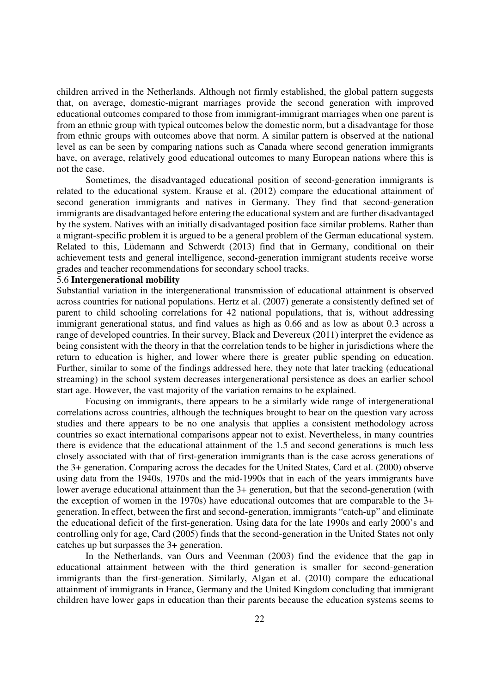children arrived in the Netherlands. Although not firmly established, the global pattern suggests that, on average, domestic-migrant marriages provide the second generation with improved educational outcomes compared to those from immigrant-immigrant marriages when one parent is from an ethnic group with typical outcomes below the domestic norm, but a disadvantage for those from ethnic groups with outcomes above that norm. A similar pattern is observed at the national level as can be seen by comparing nations such as Canada where second generation immigrants have, on average, relatively good educational outcomes to many European nations where this is not the case.

 Sometimes, the disadvantaged educational position of second-generation immigrants is related to the educational system. Krause et al. (2012) compare the educational attainment of second generation immigrants and natives in Germany. They find that second-generation immigrants are disadvantaged before entering the educational system and are further disadvantaged by the system. Natives with an initially disadvantaged position face similar problems. Rather than a migrant-specific problem it is argued to be a general problem of the German educational system. Related to this, Lüdemann and Schwerdt (2013) find that in Germany, conditional on their achievement tests and general intelligence, second-generation immigrant students receive worse grades and teacher recommendations for secondary school tracks.

#### 5.6 **Intergenerational mobility**

Substantial variation in the intergenerational transmission of educational attainment is observed across countries for national populations. Hertz et al. (2007) generate a consistently defined set of parent to child schooling correlations for 42 national populations, that is, without addressing immigrant generational status, and find values as high as 0.66 and as low as about 0.3 across a range of developed countries. In their survey, Black and Devereux (2011) interpret the evidence as being consistent with the theory in that the correlation tends to be higher in jurisdictions where the return to education is higher, and lower where there is greater public spending on education. Further, similar to some of the findings addressed here, they note that later tracking (educational streaming) in the school system decreases intergenerational persistence as does an earlier school start age. However, the vast majority of the variation remains to be explained.

 Focusing on immigrants, there appears to be a similarly wide range of intergenerational correlations across countries, although the techniques brought to bear on the question vary across studies and there appears to be no one analysis that applies a consistent methodology across countries so exact international comparisons appear not to exist. Nevertheless, in many countries there is evidence that the educational attainment of the 1.5 and second generations is much less closely associated with that of first-generation immigrants than is the case across generations of the 3+ generation. Comparing across the decades for the United States, Card et al. (2000) observe using data from the 1940s, 1970s and the mid-1990s that in each of the years immigrants have lower average educational attainment than the 3+ generation, but that the second-generation (with the exception of women in the 1970s) have educational outcomes that are comparable to the 3+ generation. In effect, between the first and second-generation, immigrants "catch-up" and eliminate the educational deficit of the first-generation. Using data for the late 1990s and early 2000's and controlling only for age, Card (2005) finds that the second-generation in the United States not only catches up but surpasses the 3+ generation.

In the Netherlands, van Ours and Veenman (2003) find the evidence that the gap in educational attainment between with the third generation is smaller for second-generation immigrants than the first-generation. Similarly, Algan et al. (2010) compare the educational attainment of immigrants in France, Germany and the United Kingdom concluding that immigrant children have lower gaps in education than their parents because the education systems seems to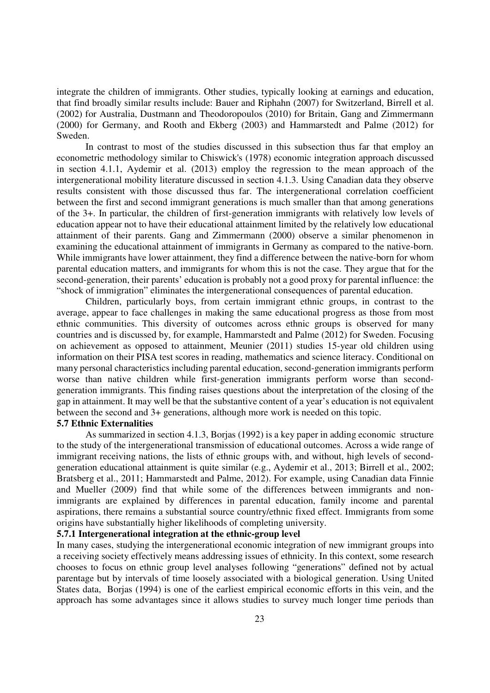integrate the children of immigrants. Other studies, typically looking at earnings and education, that find broadly similar results include: Bauer and Riphahn (2007) for Switzerland, Birrell et al. (2002) for Australia, Dustmann and Theodoropoulos (2010) for Britain, Gang and Zimmermann (2000) for Germany, and Rooth and Ekberg (2003) and Hammarstedt and Palme (2012) for Sweden.

In contrast to most of the studies discussed in this subsection thus far that employ an econometric methodology similar to Chiswick's (1978) economic integration approach discussed in section 4.1.1, Aydemir et al. (2013) employ the regression to the mean approach of the intergenerational mobility literature discussed in section 4.1.3. Using Canadian data they observe results consistent with those discussed thus far. The intergenerational correlation coefficient between the first and second immigrant generations is much smaller than that among generations of the 3+. In particular, the children of first-generation immigrants with relatively low levels of education appear not to have their educational attainment limited by the relatively low educational attainment of their parents. Gang and Zimmermann (2000) observe a similar phenomenon in examining the educational attainment of immigrants in Germany as compared to the native-born. While immigrants have lower attainment, they find a difference between the native-born for whom parental education matters, and immigrants for whom this is not the case. They argue that for the second-generation, their parents' education is probably not a good proxy for parental influence: the "shock of immigration" eliminates the intergenerational consequences of parental education.

Children, particularly boys, from certain immigrant ethnic groups, in contrast to the average, appear to face challenges in making the same educational progress as those from most ethnic communities. This diversity of outcomes across ethnic groups is observed for many countries and is discussed by, for example, Hammarstedt and Palme (2012) for Sweden. Focusing on achievement as opposed to attainment, Meunier (2011) studies 15-year old children using information on their PISA test scores in reading, mathematics and science literacy. Conditional on many personal characteristics including parental education, second-generation immigrants perform worse than native children while first-generation immigrants perform worse than secondgeneration immigrants. This finding raises questions about the interpretation of the closing of the gap in attainment. It may well be that the substantive content of a year's education is not equivalent between the second and 3+ generations, although more work is needed on this topic.

#### **5.7 Ethnic Externalities**

As summarized in section 4.1.3, Borjas (1992) is a key paper in adding economic structure to the study of the intergenerational transmission of educational outcomes. Across a wide range of immigrant receiving nations, the lists of ethnic groups with, and without, high levels of secondgeneration educational attainment is quite similar (e.g., Aydemir et al., 2013; Birrell et al., 2002; Bratsberg et al., 2011; Hammarstedt and Palme, 2012). For example, using Canadian data Finnie and Mueller (2009) find that while some of the differences between immigrants and nonimmigrants are explained by differences in parental education, family income and parental aspirations, there remains a substantial source country/ethnic fixed effect. Immigrants from some origins have substantially higher likelihoods of completing university.

#### **5.7.1 Intergenerational integration at the ethnic-group level**

In many cases, studying the intergenerational economic integration of new immigrant groups into a receiving society effectively means addressing issues of ethnicity. In this context, some research chooses to focus on ethnic group level analyses following "generations" defined not by actual parentage but by intervals of time loosely associated with a biological generation. Using United States data, Borjas (1994) is one of the earliest empirical economic efforts in this vein, and the approach has some advantages since it allows studies to survey much longer time periods than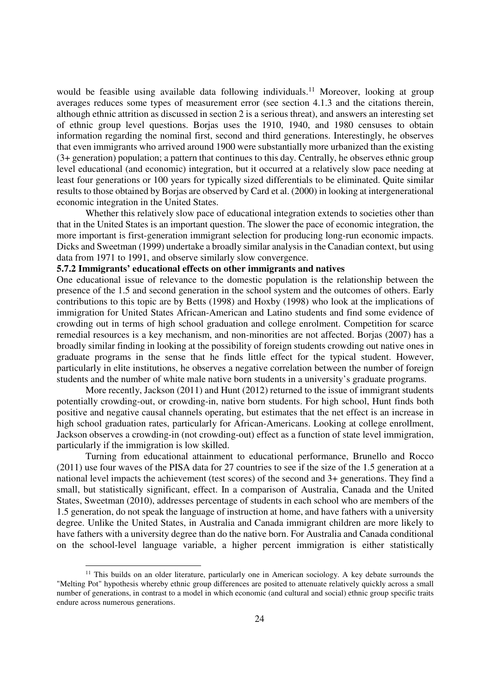would be feasible using available data following individuals.<sup>11</sup> Moreover, looking at group averages reduces some types of measurement error (see section 4.1.3 and the citations therein, although ethnic attrition as discussed in section 2 is a serious threat), and answers an interesting set of ethnic group level questions. Borjas uses the 1910, 1940, and 1980 censuses to obtain information regarding the nominal first, second and third generations. Interestingly, he observes that even immigrants who arrived around 1900 were substantially more urbanized than the existing (3+ generation) population; a pattern that continues to this day. Centrally, he observes ethnic group level educational (and economic) integration, but it occurred at a relatively slow pace needing at least four generations or 100 years for typically sized differentials to be eliminated. Quite similar results to those obtained by Borjas are observed by Card et al. (2000) in looking at intergenerational economic integration in the United States.

Whether this relatively slow pace of educational integration extends to societies other than that in the United States is an important question. The slower the pace of economic integration, the more important is first-generation immigrant selection for producing long-run economic impacts. Dicks and Sweetman (1999) undertake a broadly similar analysis in the Canadian context, but using data from 1971 to 1991, and observe similarly slow convergence.

#### **5.7.2 Immigrants' educational effects on other immigrants and natives**

One educational issue of relevance to the domestic population is the relationship between the presence of the 1.5 and second generation in the school system and the outcomes of others. Early contributions to this topic are by Betts (1998) and Hoxby (1998) who look at the implications of immigration for United States African-American and Latino students and find some evidence of crowding out in terms of high school graduation and college enrolment. Competition for scarce remedial resources is a key mechanism, and non-minorities are not affected. Borjas (2007) has a broadly similar finding in looking at the possibility of foreign students crowding out native ones in graduate programs in the sense that he finds little effect for the typical student. However, particularly in elite institutions, he observes a negative correlation between the number of foreign students and the number of white male native born students in a university's graduate programs.

More recently, Jackson (2011) and Hunt (2012) returned to the issue of immigrant students potentially crowding-out, or crowding-in, native born students. For high school, Hunt finds both positive and negative causal channels operating, but estimates that the net effect is an increase in high school graduation rates, particularly for African-Americans. Looking at college enrollment, Jackson observes a crowding-in (not crowding-out) effect as a function of state level immigration, particularly if the immigration is low skilled.

 Turning from educational attainment to educational performance, Brunello and Rocco (2011) use four waves of the PISA data for 27 countries to see if the size of the 1.5 generation at a national level impacts the achievement (test scores) of the second and 3+ generations. They find a small, but statistically significant, effect. In a comparison of Australia, Canada and the United States, Sweetman (2010), addresses percentage of students in each school who are members of the 1.5 generation, do not speak the language of instruction at home, and have fathers with a university degree. Unlike the United States, in Australia and Canada immigrant children are more likely to have fathers with a university degree than do the native born. For Australia and Canada conditional on the school-level language variable, a higher percent immigration is either statistically

 $11$  This builds on an older literature, particularly one in American sociology. A key debate surrounds the "Melting Pot" hypothesis whereby ethnic group differences are posited to attenuate relatively quickly across a small number of generations, in contrast to a model in which economic (and cultural and social) ethnic group specific traits endure across numerous generations.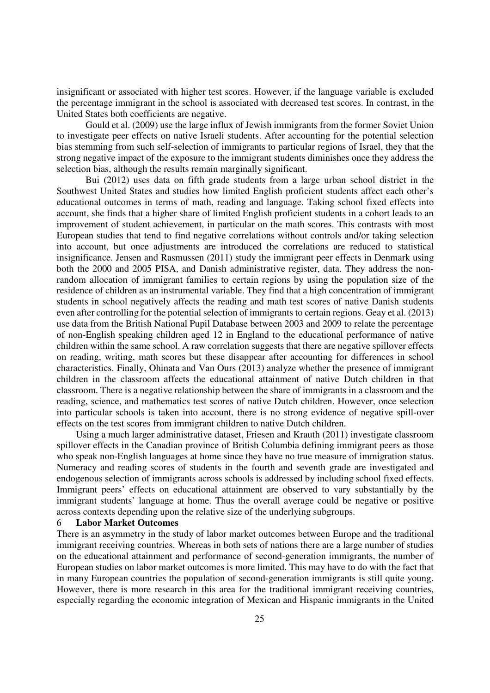insignificant or associated with higher test scores. However, if the language variable is excluded the percentage immigrant in the school is associated with decreased test scores. In contrast, in the United States both coefficients are negative.

Gould et al. (2009) use the large influx of Jewish immigrants from the former Soviet Union to investigate peer effects on native Israeli students. After accounting for the potential selection bias stemming from such self-selection of immigrants to particular regions of Israel, they that the strong negative impact of the exposure to the immigrant students diminishes once they address the selection bias, although the results remain marginally significant.

Bui (2012) uses data on fifth grade students from a large urban school district in the Southwest United States and studies how limited English proficient students affect each other's educational outcomes in terms of math, reading and language. Taking school fixed effects into account, she finds that a higher share of limited English proficient students in a cohort leads to an improvement of student achievement, in particular on the math scores. This contrasts with most European studies that tend to find negative correlations without controls and/or taking selection into account, but once adjustments are introduced the correlations are reduced to statistical insignificance. Jensen and Rasmussen (2011) study the immigrant peer effects in Denmark using both the 2000 and 2005 PISA, and Danish administrative register, data. They address the nonrandom allocation of immigrant families to certain regions by using the population size of the residence of children as an instrumental variable. They find that a high concentration of immigrant students in school negatively affects the reading and math test scores of native Danish students even after controlling for the potential selection of immigrants to certain regions. Geay et al. (2013) use data from the British National Pupil Database between 2003 and 2009 to relate the percentage of non-English speaking children aged 12 in England to the educational performance of native children within the same school. A raw correlation suggests that there are negative spillover effects on reading, writing, math scores but these disappear after accounting for differences in school characteristics. Finally, Ohinata and Van Ours (2013) analyze whether the presence of immigrant children in the classroom affects the educational attainment of native Dutch children in that classroom. There is a negative relationship between the share of immigrants in a classroom and the reading, science, and mathematics test scores of native Dutch children. However, once selection into particular schools is taken into account, there is no strong evidence of negative spill-over effects on the test scores from immigrant children to native Dutch children.

Using a much larger administrative dataset, Friesen and Krauth (2011) investigate classroom spillover effects in the Canadian province of British Columbia defining immigrant peers as those who speak non-English languages at home since they have no true measure of immigration status. Numeracy and reading scores of students in the fourth and seventh grade are investigated and endogenous selection of immigrants across schools is addressed by including school fixed effects. Immigrant peers' effects on educational attainment are observed to vary substantially by the immigrant students' language at home. Thus the overall average could be negative or positive across contexts depending upon the relative size of the underlying subgroups.

#### 6 **Labor Market Outcomes**

There is an asymmetry in the study of labor market outcomes between Europe and the traditional immigrant receiving countries. Whereas in both sets of nations there are a large number of studies on the educational attainment and performance of second-generation immigrants, the number of European studies on labor market outcomes is more limited. This may have to do with the fact that in many European countries the population of second-generation immigrants is still quite young. However, there is more research in this area for the traditional immigrant receiving countries, especially regarding the economic integration of Mexican and Hispanic immigrants in the United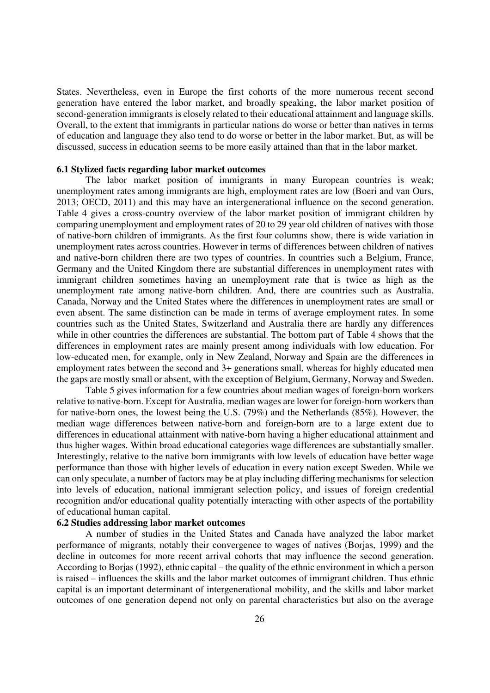States. Nevertheless, even in Europe the first cohorts of the more numerous recent second generation have entered the labor market, and broadly speaking, the labor market position of second-generation immigrants is closely related to their educational attainment and language skills. Overall, to the extent that immigrants in particular nations do worse or better than natives in terms of education and language they also tend to do worse or better in the labor market. But, as will be discussed, success in education seems to be more easily attained than that in the labor market.

#### **6.1 Stylized facts regarding labor market outcomes**

The labor market position of immigrants in many European countries is weak; unemployment rates among immigrants are high, employment rates are low (Boeri and van Ours, 2013; OECD, 2011) and this may have an intergenerational influence on the second generation. Table 4 gives a cross-country overview of the labor market position of immigrant children by comparing unemployment and employment rates of 20 to 29 year old children of natives with those of native-born children of immigrants. As the first four columns show, there is wide variation in unemployment rates across countries. However in terms of differences between children of natives and native-born children there are two types of countries. In countries such a Belgium, France, Germany and the United Kingdom there are substantial differences in unemployment rates with immigrant children sometimes having an unemployment rate that is twice as high as the unemployment rate among native-born children. And, there are countries such as Australia, Canada, Norway and the United States where the differences in unemployment rates are small or even absent. The same distinction can be made in terms of average employment rates. In some countries such as the United States, Switzerland and Australia there are hardly any differences while in other countries the differences are substantial. The bottom part of Table 4 shows that the differences in employment rates are mainly present among individuals with low education. For low-educated men, for example, only in New Zealand, Norway and Spain are the differences in employment rates between the second and 3+ generations small, whereas for highly educated men the gaps are mostly small or absent, with the exception of Belgium, Germany, Norway and Sweden.

Table 5 gives information for a few countries about median wages of foreign-born workers relative to native-born. Except for Australia, median wages are lower for foreign-born workers than for native-born ones, the lowest being the U.S. (79%) and the Netherlands (85%). However, the median wage differences between native-born and foreign-born are to a large extent due to differences in educational attainment with native-born having a higher educational attainment and thus higher wages. Within broad educational categories wage differences are substantially smaller. Interestingly, relative to the native born immigrants with low levels of education have better wage performance than those with higher levels of education in every nation except Sweden. While we can only speculate, a number of factors may be at play including differing mechanisms for selection into levels of education, national immigrant selection policy, and issues of foreign credential recognition and/or educational quality potentially interacting with other aspects of the portability of educational human capital.

#### **6.2 Studies addressing labor market outcomes**

A number of studies in the United States and Canada have analyzed the labor market performance of migrants, notably their convergence to wages of natives (Borjas, 1999) and the decline in outcomes for more recent arrival cohorts that may influence the second generation. According to Borjas (1992), ethnic capital – the quality of the ethnic environment in which a person is raised – influences the skills and the labor market outcomes of immigrant children. Thus ethnic capital is an important determinant of intergenerational mobility, and the skills and labor market outcomes of one generation depend not only on parental characteristics but also on the average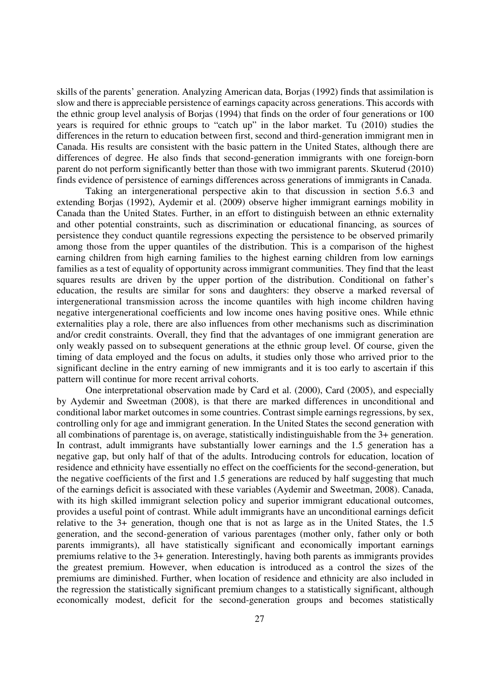skills of the parents' generation. Analyzing American data, Borjas (1992) finds that assimilation is slow and there is appreciable persistence of earnings capacity across generations. This accords with the ethnic group level analysis of Borjas (1994) that finds on the order of four generations or 100 years is required for ethnic groups to "catch up" in the labor market. Tu (2010) studies the differences in the return to education between first, second and third-generation immigrant men in Canada. His results are consistent with the basic pattern in the United States, although there are differences of degree. He also finds that second-generation immigrants with one foreign-born parent do not perform significantly better than those with two immigrant parents. Skuterud (2010) finds evidence of persistence of earnings differences across generations of immigrants in Canada.

Taking an intergenerational perspective akin to that discussion in section 5.6.3 and extending Borjas (1992), Aydemir et al. (2009) observe higher immigrant earnings mobility in Canada than the United States. Further, in an effort to distinguish between an ethnic externality and other potential constraints, such as discrimination or educational financing, as sources of persistence they conduct quantile regressions expecting the persistence to be observed primarily among those from the upper quantiles of the distribution. This is a comparison of the highest earning children from high earning families to the highest earning children from low earnings families as a test of equality of opportunity across immigrant communities. They find that the least squares results are driven by the upper portion of the distribution. Conditional on father's education, the results are similar for sons and daughters: they observe a marked reversal of intergenerational transmission across the income quantiles with high income children having negative intergenerational coefficients and low income ones having positive ones. While ethnic externalities play a role, there are also influences from other mechanisms such as discrimination and/or credit constraints. Overall, they find that the advantages of one immigrant generation are only weakly passed on to subsequent generations at the ethnic group level. Of course, given the timing of data employed and the focus on adults, it studies only those who arrived prior to the significant decline in the entry earning of new immigrants and it is too early to ascertain if this pattern will continue for more recent arrival cohorts.

One interpretational observation made by Card et al. (2000), Card (2005), and especially by Aydemir and Sweetman (2008), is that there are marked differences in unconditional and conditional labor market outcomes in some countries. Contrast simple earnings regressions, by sex, controlling only for age and immigrant generation. In the United States the second generation with all combinations of parentage is, on average, statistically indistinguishable from the 3+ generation. In contrast, adult immigrants have substantially lower earnings and the 1.5 generation has a negative gap, but only half of that of the adults. Introducing controls for education, location of residence and ethnicity have essentially no effect on the coefficients for the second-generation, but the negative coefficients of the first and 1.5 generations are reduced by half suggesting that much of the earnings deficit is associated with these variables (Aydemir and Sweetman, 2008). Canada, with its high skilled immigrant selection policy and superior immigrant educational outcomes, provides a useful point of contrast. While adult immigrants have an unconditional earnings deficit relative to the 3+ generation, though one that is not as large as in the United States, the 1.5 generation, and the second-generation of various parentages (mother only, father only or both parents immigrants), all have statistically significant and economically important earnings premiums relative to the 3+ generation. Interestingly, having both parents as immigrants provides the greatest premium. However, when education is introduced as a control the sizes of the premiums are diminished. Further, when location of residence and ethnicity are also included in the regression the statistically significant premium changes to a statistically significant, although economically modest, deficit for the second-generation groups and becomes statistically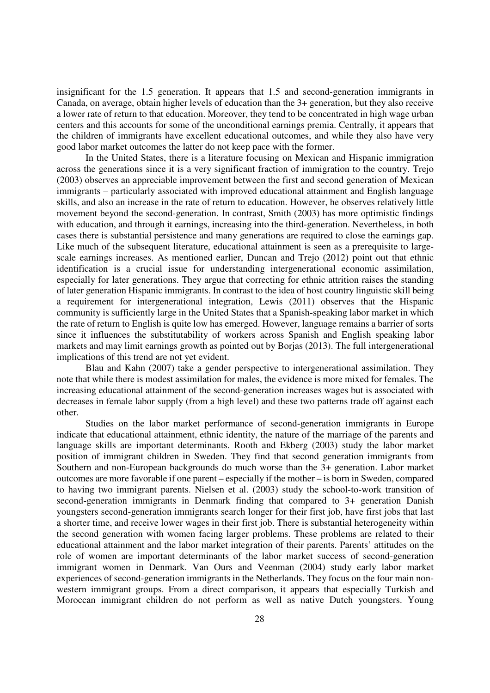insignificant for the 1.5 generation. It appears that 1.5 and second-generation immigrants in Canada, on average, obtain higher levels of education than the 3+ generation, but they also receive a lower rate of return to that education. Moreover, they tend to be concentrated in high wage urban centers and this accounts for some of the unconditional earnings premia. Centrally, it appears that the children of immigrants have excellent educational outcomes, and while they also have very good labor market outcomes the latter do not keep pace with the former.

In the United States, there is a literature focusing on Mexican and Hispanic immigration across the generations since it is a very significant fraction of immigration to the country. Trejo (2003) observes an appreciable improvement between the first and second generation of Mexican immigrants – particularly associated with improved educational attainment and English language skills, and also an increase in the rate of return to education. However, he observes relatively little movement beyond the second-generation. In contrast, Smith (2003) has more optimistic findings with education, and through it earnings, increasing into the third-generation. Nevertheless, in both cases there is substantial persistence and many generations are required to close the earnings gap. Like much of the subsequent literature, educational attainment is seen as a prerequisite to largescale earnings increases. As mentioned earlier, Duncan and Trejo (2012) point out that ethnic identification is a crucial issue for understanding intergenerational economic assimilation, especially for later generations. They argue that correcting for ethnic attrition raises the standing of later generation Hispanic immigrants. In contrast to the idea of host country linguistic skill being a requirement for intergenerational integration, Lewis (2011) observes that the Hispanic community is sufficiently large in the United States that a Spanish-speaking labor market in which the rate of return to English is quite low has emerged. However, language remains a barrier of sorts since it influences the substitutability of workers across Spanish and English speaking labor markets and may limit earnings growth as pointed out by Borjas (2013). The full intergenerational implications of this trend are not yet evident.

Blau and Kahn (2007) take a gender perspective to intergenerational assimilation. They note that while there is modest assimilation for males, the evidence is more mixed for females. The increasing educational attainment of the second-generation increases wages but is associated with decreases in female labor supply (from a high level) and these two patterns trade off against each other.

Studies on the labor market performance of second-generation immigrants in Europe indicate that educational attainment, ethnic identity, the nature of the marriage of the parents and language skills are important determinants. Rooth and Ekberg (2003) study the labor market position of immigrant children in Sweden. They find that second generation immigrants from Southern and non-European backgrounds do much worse than the 3+ generation. Labor market outcomes are more favorable if one parent – especially if the mother – is born in Sweden, compared to having two immigrant parents. Nielsen et al. (2003) study the school-to-work transition of second-generation immigrants in Denmark finding that compared to 3+ generation Danish youngsters second-generation immigrants search longer for their first job, have first jobs that last a shorter time, and receive lower wages in their first job. There is substantial heterogeneity within the second generation with women facing larger problems. These problems are related to their educational attainment and the labor market integration of their parents. Parents' attitudes on the role of women are important determinants of the labor market success of second-generation immigrant women in Denmark. Van Ours and Veenman (2004) study early labor market experiences of second-generation immigrants in the Netherlands. They focus on the four main nonwestern immigrant groups. From a direct comparison, it appears that especially Turkish and Moroccan immigrant children do not perform as well as native Dutch youngsters. Young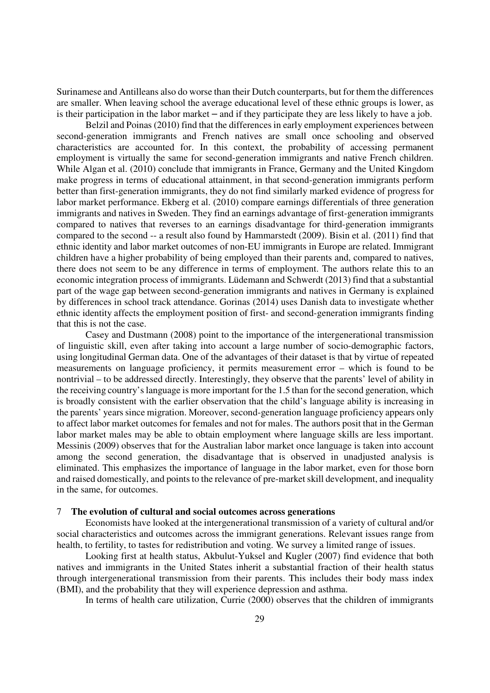Surinamese and Antilleans also do worse than their Dutch counterparts, but for them the differences are smaller. When leaving school the average educational level of these ethnic groups is lower, as is their participation in the labor market – and if they participate they are less likely to have a job.

Belzil and Poinas (2010) find that the differences in early employment experiences between second-generation immigrants and French natives are small once schooling and observed characteristics are accounted for. In this context, the probability of accessing permanent employment is virtually the same for second-generation immigrants and native French children. While Algan et al. (2010) conclude that immigrants in France, Germany and the United Kingdom make progress in terms of educational attainment, in that second-generation immigrants perform better than first-generation immigrants, they do not find similarly marked evidence of progress for labor market performance. Ekberg et al. (2010) compare earnings differentials of three generation immigrants and natives in Sweden. They find an earnings advantage of first-generation immigrants compared to natives that reverses to an earnings disadvantage for third-generation immigrants compared to the second -- a result also found by Hammarstedt (2009). Bisin et al. (2011) find that ethnic identity and labor market outcomes of non-EU immigrants in Europe are related. Immigrant children have a higher probability of being employed than their parents and, compared to natives, there does not seem to be any difference in terms of employment. The authors relate this to an economic integration process of immigrants. Lüdemann and Schwerdt (2013) find that a substantial part of the wage gap between second-generation immigrants and natives in Germany is explained by differences in school track attendance. Gorinas (2014) uses Danish data to investigate whether ethnic identity affects the employment position of first- and second-generation immigrants finding that this is not the case.

Casey and Dustmann (2008) point to the importance of the intergenerational transmission of linguistic skill, even after taking into account a large number of socio-demographic factors, using longitudinal German data. One of the advantages of their dataset is that by virtue of repeated measurements on language proficiency, it permits measurement error – which is found to be nontrivial – to be addressed directly. Interestingly, they observe that the parents' level of ability in the receiving country's language is more important for the 1.5 than for the second generation, which is broadly consistent with the earlier observation that the child's language ability is increasing in the parents' years since migration. Moreover, second-generation language proficiency appears only to affect labor market outcomes for females and not for males. The authors posit that in the German labor market males may be able to obtain employment where language skills are less important. Messinis (2009) observes that for the Australian labor market once language is taken into account among the second generation, the disadvantage that is observed in unadjusted analysis is eliminated. This emphasizes the importance of language in the labor market, even for those born and raised domestically, and points to the relevance of pre-market skill development, and inequality in the same, for outcomes.

#### 7 **The evolution of cultural and social outcomes across generations**

Economists have looked at the intergenerational transmission of a variety of cultural and/or social characteristics and outcomes across the immigrant generations. Relevant issues range from health, to fertility, to tastes for redistribution and voting. We survey a limited range of issues.

Looking first at health status, Akbulut-Yuksel and Kugler (2007) find evidence that both natives and immigrants in the United States inherit a substantial fraction of their health status through intergenerational transmission from their parents. This includes their body mass index (BMI), and the probability that they will experience depression and asthma.

In terms of health care utilization, Currie (2000) observes that the children of immigrants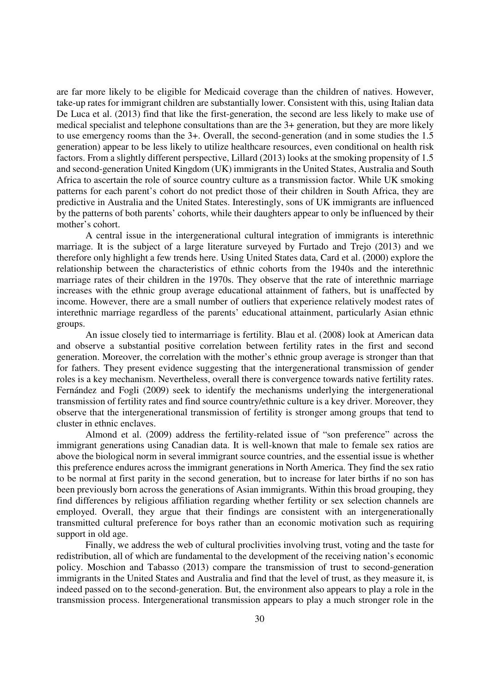are far more likely to be eligible for Medicaid coverage than the children of natives. However, take-up rates for immigrant children are substantially lower. Consistent with this, using Italian data De Luca et al. (2013) find that like the first-generation, the second are less likely to make use of medical specialist and telephone consultations than are the 3+ generation, but they are more likely to use emergency rooms than the 3+. Overall, the second-generation (and in some studies the 1.5 generation) appear to be less likely to utilize healthcare resources, even conditional on health risk factors. From a slightly different perspective, Lillard (2013) looks at the smoking propensity of 1.5 and second-generation United Kingdom (UK) immigrants in the United States, Australia and South Africa to ascertain the role of source country culture as a transmission factor. While UK smoking patterns for each parent's cohort do not predict those of their children in South Africa, they are predictive in Australia and the United States. Interestingly, sons of UK immigrants are influenced by the patterns of both parents' cohorts, while their daughters appear to only be influenced by their mother's cohort.

 A central issue in the intergenerational cultural integration of immigrants is interethnic marriage. It is the subject of a large literature surveyed by Furtado and Trejo (2013) and we therefore only highlight a few trends here. Using United States data, Card et al. (2000) explore the relationship between the characteristics of ethnic cohorts from the 1940s and the interethnic marriage rates of their children in the 1970s. They observe that the rate of interethnic marriage increases with the ethnic group average educational attainment of fathers, but is unaffected by income. However, there are a small number of outliers that experience relatively modest rates of interethnic marriage regardless of the parents' educational attainment, particularly Asian ethnic groups.

 An issue closely tied to intermarriage is fertility. Blau et al. (2008) look at American data and observe a substantial positive correlation between fertility rates in the first and second generation. Moreover, the correlation with the mother's ethnic group average is stronger than that for fathers. They present evidence suggesting that the intergenerational transmission of gender roles is a key mechanism. Nevertheless, overall there is convergence towards native fertility rates. Fernández and Fogli (2009) seek to identify the mechanisms underlying the intergenerational transmission of fertility rates and find source country/ethnic culture is a key driver. Moreover, they observe that the intergenerational transmission of fertility is stronger among groups that tend to cluster in ethnic enclaves.

 Almond et al. (2009) address the fertility-related issue of "son preference" across the immigrant generations using Canadian data. It is well-known that male to female sex ratios are above the biological norm in several immigrant source countries, and the essential issue is whether this preference endures across the immigrant generations in North America. They find the sex ratio to be normal at first parity in the second generation, but to increase for later births if no son has been previously born across the generations of Asian immigrants. Within this broad grouping, they find differences by religious affiliation regarding whether fertility or sex selection channels are employed. Overall, they argue that their findings are consistent with an intergenerationally transmitted cultural preference for boys rather than an economic motivation such as requiring support in old age.

 Finally, we address the web of cultural proclivities involving trust, voting and the taste for redistribution, all of which are fundamental to the development of the receiving nation's economic policy. Moschion and Tabasso (2013) compare the transmission of trust to second-generation immigrants in the United States and Australia and find that the level of trust, as they measure it, is indeed passed on to the second-generation. But, the environment also appears to play a role in the transmission process. Intergenerational transmission appears to play a much stronger role in the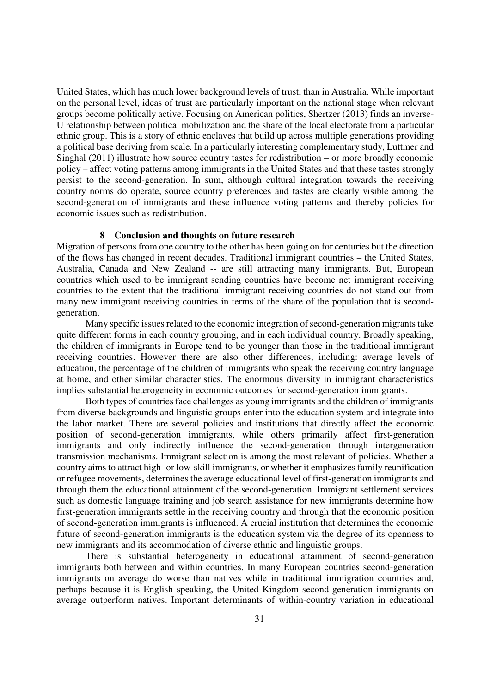United States, which has much lower background levels of trust, than in Australia. While important on the personal level, ideas of trust are particularly important on the national stage when relevant groups become politically active. Focusing on American politics, Shertzer (2013) finds an inverse-U relationship between political mobilization and the share of the local electorate from a particular ethnic group. This is a story of ethnic enclaves that build up across multiple generations providing a political base deriving from scale. In a particularly interesting complementary study, Luttmer and Singhal (2011) illustrate how source country tastes for redistribution – or more broadly economic policy – affect voting patterns among immigrants in the United States and that these tastes strongly persist to the second-generation. In sum, although cultural integration towards the receiving country norms do operate, source country preferences and tastes are clearly visible among the second-generation of immigrants and these influence voting patterns and thereby policies for economic issues such as redistribution.

#### **8 Conclusion and thoughts on future research**

Migration of persons from one country to the other has been going on for centuries but the direction of the flows has changed in recent decades. Traditional immigrant countries – the United States, Australia, Canada and New Zealand -- are still attracting many immigrants. But, European countries which used to be immigrant sending countries have become net immigrant receiving countries to the extent that the traditional immigrant receiving countries do not stand out from many new immigrant receiving countries in terms of the share of the population that is secondgeneration.

Many specific issues related to the economic integration of second-generation migrants take quite different forms in each country grouping, and in each individual country. Broadly speaking, the children of immigrants in Europe tend to be younger than those in the traditional immigrant receiving countries. However there are also other differences, including: average levels of education, the percentage of the children of immigrants who speak the receiving country language at home, and other similar characteristics. The enormous diversity in immigrant characteristics implies substantial heterogeneity in economic outcomes for second-generation immigrants.

Both types of countries face challenges as young immigrants and the children of immigrants from diverse backgrounds and linguistic groups enter into the education system and integrate into the labor market. There are several policies and institutions that directly affect the economic position of second-generation immigrants, while others primarily affect first-generation immigrants and only indirectly influence the second-generation through intergeneration transmission mechanisms. Immigrant selection is among the most relevant of policies. Whether a country aims to attract high- or low-skill immigrants, or whether it emphasizes family reunification or refugee movements, determines the average educational level of first-generation immigrants and through them the educational attainment of the second-generation. Immigrant settlement services such as domestic language training and job search assistance for new immigrants determine how first-generation immigrants settle in the receiving country and through that the economic position of second-generation immigrants is influenced. A crucial institution that determines the economic future of second-generation immigrants is the education system via the degree of its openness to new immigrants and its accommodation of diverse ethnic and linguistic groups.

There is substantial heterogeneity in educational attainment of second-generation immigrants both between and within countries. In many European countries second-generation immigrants on average do worse than natives while in traditional immigration countries and, perhaps because it is English speaking, the United Kingdom second-generation immigrants on average outperform natives. Important determinants of within-country variation in educational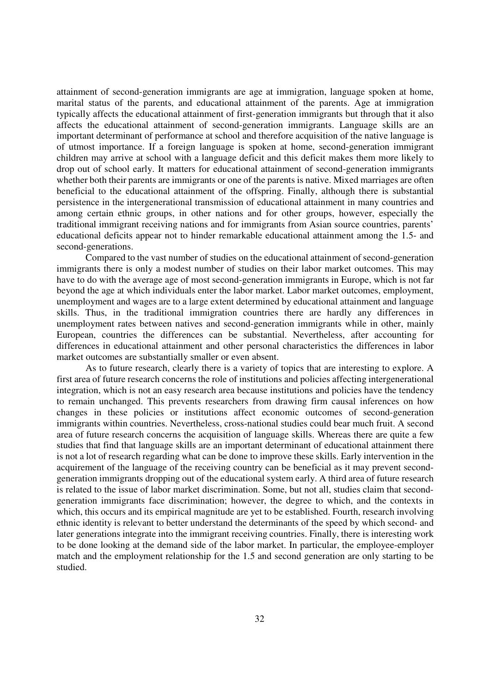attainment of second-generation immigrants are age at immigration, language spoken at home, marital status of the parents, and educational attainment of the parents. Age at immigration typically affects the educational attainment of first-generation immigrants but through that it also affects the educational attainment of second-generation immigrants. Language skills are an important determinant of performance at school and therefore acquisition of the native language is of utmost importance. If a foreign language is spoken at home, second-generation immigrant children may arrive at school with a language deficit and this deficit makes them more likely to drop out of school early. It matters for educational attainment of second-generation immigrants whether both their parents are immigrants or one of the parents is native. Mixed marriages are often beneficial to the educational attainment of the offspring. Finally, although there is substantial persistence in the intergenerational transmission of educational attainment in many countries and among certain ethnic groups, in other nations and for other groups, however, especially the traditional immigrant receiving nations and for immigrants from Asian source countries, parents' educational deficits appear not to hinder remarkable educational attainment among the 1.5- and second-generations.

Compared to the vast number of studies on the educational attainment of second-generation immigrants there is only a modest number of studies on their labor market outcomes. This may have to do with the average age of most second-generation immigrants in Europe, which is not far beyond the age at which individuals enter the labor market. Labor market outcomes, employment, unemployment and wages are to a large extent determined by educational attainment and language skills. Thus, in the traditional immigration countries there are hardly any differences in unemployment rates between natives and second-generation immigrants while in other, mainly European, countries the differences can be substantial. Nevertheless, after accounting for differences in educational attainment and other personal characteristics the differences in labor market outcomes are substantially smaller or even absent.

As to future research, clearly there is a variety of topics that are interesting to explore. A first area of future research concerns the role of institutions and policies affecting intergenerational integration, which is not an easy research area because institutions and policies have the tendency to remain unchanged. This prevents researchers from drawing firm causal inferences on how changes in these policies or institutions affect economic outcomes of second-generation immigrants within countries. Nevertheless, cross-national studies could bear much fruit. A second area of future research concerns the acquisition of language skills. Whereas there are quite a few studies that find that language skills are an important determinant of educational attainment there is not a lot of research regarding what can be done to improve these skills. Early intervention in the acquirement of the language of the receiving country can be beneficial as it may prevent secondgeneration immigrants dropping out of the educational system early. A third area of future research is related to the issue of labor market discrimination. Some, but not all, studies claim that secondgeneration immigrants face discrimination; however, the degree to which, and the contexts in which, this occurs and its empirical magnitude are yet to be established. Fourth, research involving ethnic identity is relevant to better understand the determinants of the speed by which second- and later generations integrate into the immigrant receiving countries. Finally, there is interesting work to be done looking at the demand side of the labor market. In particular, the employee-employer match and the employment relationship for the 1.5 and second generation are only starting to be studied.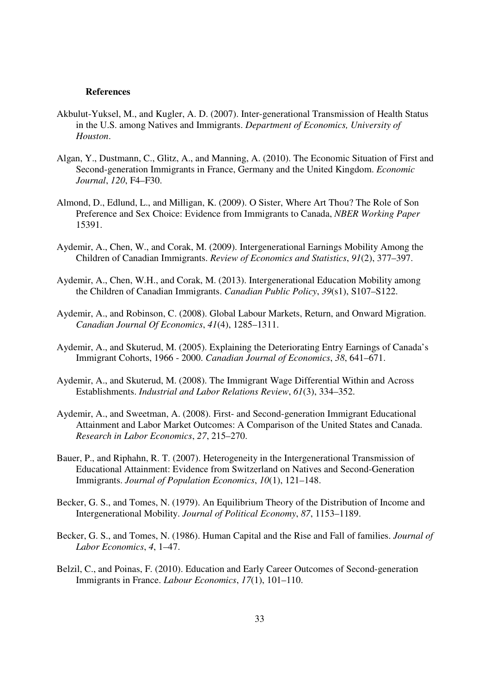#### **References**

- Akbulut-Yuksel, M., and Kugler, A. D. (2007). Inter-generational Transmission of Health Status in the U.S. among Natives and Immigrants. *Department of Economics, University of Houston*.
- Algan, Y., Dustmann, C., Glitz, A., and Manning, A. (2010). The Economic Situation of First and Second-generation Immigrants in France, Germany and the United Kingdom. *Economic Journal*, *120*, F4–F30.
- Almond, D., Edlund, L., and Milligan, K. (2009). O Sister, Where Art Thou? The Role of Son Preference and Sex Choice: Evidence from Immigrants to Canada, *NBER Working Paper* 15391.
- Aydemir, A., Chen, W., and Corak, M. (2009). Intergenerational Earnings Mobility Among the Children of Canadian Immigrants. *Review of Economics and Statistics*, *91*(2), 377–397.
- Aydemir, A., Chen, W.H., and Corak, M. (2013). Intergenerational Education Mobility among the Children of Canadian Immigrants. *Canadian Public Policy*, *39*(s1), S107–S122.
- Aydemir, A., and Robinson, C. (2008). Global Labour Markets, Return, and Onward Migration. *Canadian Journal Of Economics*, *41*(4), 1285–1311.
- Aydemir, A., and Skuterud, M. (2005). Explaining the Deteriorating Entry Earnings of Canada's Immigrant Cohorts, 1966 - 2000. *Canadian Journal of Economics*, *38*, 641–671.
- Aydemir, A., and Skuterud, M. (2008). The Immigrant Wage Differential Within and Across Establishments. *Industrial and Labor Relations Review*, *61*(3), 334–352.
- Aydemir, A., and Sweetman, A. (2008). First- and Second-generation Immigrant Educational Attainment and Labor Market Outcomes: A Comparison of the United States and Canada. *Research in Labor Economics*, *27*, 215–270.
- Bauer, P., and Riphahn, R. T. (2007). Heterogeneity in the Intergenerational Transmission of Educational Attainment: Evidence from Switzerland on Natives and Second-Generation Immigrants. *Journal of Population Economics*, *10*(1), 121–148.
- Becker, G. S., and Tomes, N. (1979). An Equilibrium Theory of the Distribution of Income and Intergenerational Mobility. *Journal of Political Economy*, *87*, 1153–1189.
- Becker, G. S., and Tomes, N. (1986). Human Capital and the Rise and Fall of families. *Journal of Labor Economics*, *4*, 1–47.
- Belzil, C., and Poinas, F. (2010). Education and Early Career Outcomes of Second-generation Immigrants in France. *Labour Economics*, *17*(1), 101–110.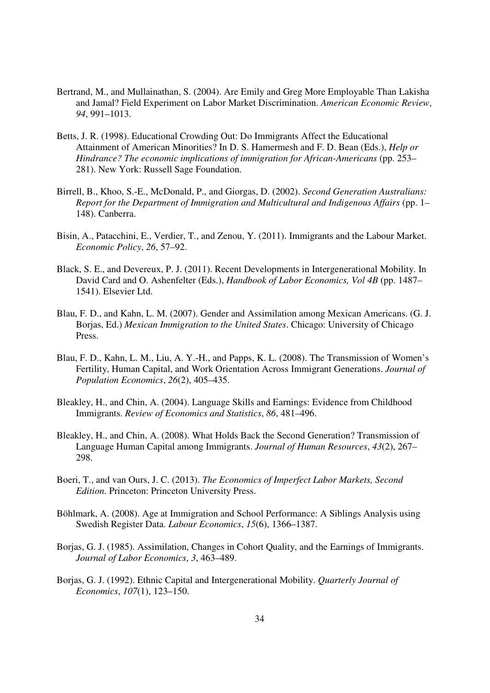- Bertrand, M., and Mullainathan, S. (2004). Are Emily and Greg More Employable Than Lakisha and Jamal? Field Experiment on Labor Market Discrimination. *American Economic Review*, *94*, 991–1013.
- Betts, J. R. (1998). Educational Crowding Out: Do Immigrants Affect the Educational Attainment of American Minorities? In D. S. Hamermesh and F. D. Bean (Eds.), *Help or Hindrance? The economic implications of immigration for African-Americans* (pp. 253– 281). New York: Russell Sage Foundation.
- Birrell, B., Khoo, S.-E., McDonald, P., and Giorgas, D. (2002). *Second Generation Australians: Report for the Department of Immigration and Multicultural and Indigenous Affairs* (pp. 1– 148). Canberra.
- Bisin, A., Patacchini, E., Verdier, T., and Zenou, Y. (2011). Immigrants and the Labour Market. *Economic Policy*, *26*, 57–92.
- Black, S. E., and Devereux, P. J. (2011). Recent Developments in Intergenerational Mobility. In David Card and O. Ashenfelter (Eds.), *Handbook of Labor Economics, Vol 4B* (pp. 1487– 1541). Elsevier Ltd.
- Blau, F. D., and Kahn, L. M. (2007). Gender and Assimilation among Mexican Americans. (G. J. Borjas, Ed.) *Mexican Immigration to the United States*. Chicago: University of Chicago Press.
- Blau, F. D., Kahn, L. M., Liu, A. Y.-H., and Papps, K. L. (2008). The Transmission of Women's Fertility, Human Capital, and Work Orientation Across Immigrant Generations. *Journal of Population Economics*, *26*(2), 405–435.
- Bleakley, H., and Chin, A. (2004). Language Skills and Earnings: Evidence from Childhood Immigrants. *Review of Economics and Statistics*, *86*, 481–496.
- Bleakley, H., and Chin, A. (2008). What Holds Back the Second Generation? Transmission of Language Human Capital among Immigrants. *Journal of Human Resources*, *43*(2), 267– 298.
- Boeri, T., and van Ours, J. C. (2013). *The Economics of Imperfect Labor Markets, Second Edition*. Princeton: Princeton University Press.
- Böhlmark, A. (2008). Age at Immigration and School Performance: A Siblings Analysis using Swedish Register Data. *Labour Economics*, *15*(6), 1366–1387.
- Borjas, G. J. (1985). Assimilation, Changes in Cohort Quality, and the Earnings of Immigrants. *Journal of Labor Economics*, *3*, 463–489.
- Borjas, G. J. (1992). Ethnic Capital and Intergenerational Mobility. *Quarterly Journal of Economics*, *107*(1), 123–150.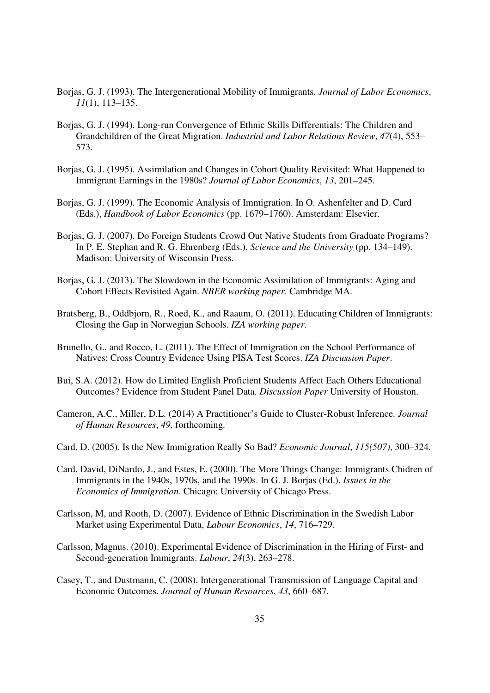- Borjas, G. J. (1993). The Intergenerational Mobility of Immigrants. *Journal of Labor Economics*, *11*(1), 113–135.
- Borjas, G. J. (1994). Long-run Convergence of Ethnic Skills Differentials: The Children and Grandchildren of the Great Migration. *Industrial and Labor Relations Review*, *47*(4), 553– 573.
- Borjas, G. J. (1995). Assimilation and Changes in Cohort Quality Revisited: What Happened to Immigrant Earnings in the 1980s? *Journal of Labor Economics*, *13*, 201–245.
- Borjas, G. J. (1999). The Economic Analysis of Immigration. In O. Ashenfelter and D. Card (Eds.), *Handbook of Labor Economics* (pp. 1679–1760). Amsterdam: Elsevier.
- Borjas, G. J. (2007). Do Foreign Students Crowd Out Native Students from Graduate Programs? In P. E. Stephan and R. G. Ehrenberg (Eds.), *Science and the University* (pp. 134–149). Madison: University of Wisconsin Press.
- Borjas, G. J. (2013). The Slowdown in the Economic Assimilation of Immigrants: Aging and Cohort Effects Revisited Again. *NBER working paper*. Cambridge MA.
- Bratsberg, B., Oddbjorn, R., Roed, K., and Raaum, O. (2011). Educating Children of Immigrants: Closing the Gap in Norwegian Schools. *IZA working paper*.
- Brunello, G., and Rocco, L. (2011). The Effect of Immigration on the School Performance of Natives: Cross Country Evidence Using PISA Test Scores. *IZA Discussion Paper*.
- Bui, S.A. (2012). How do Limited English Proficient Students Affect Each Others Educational Outcomes? Evidence from Student Panel Data. *Discussion Paper* University of Houston.
- Cameron, A.C., Miller, D.L. (2014) A Practitioner's Guide to Cluster-Robust Inference. *Journal of Human Resources*, *49,* forthcoming.
- Card, D. (2005). Is the New Immigration Really So Bad? *Economic Journal*, *115(507)*, 300–324.
- Card, David, DiNardo, J., and Estes, E. (2000). The More Things Change: Immigrants Chidren of Immigrants in the 1940s, 1970s, and the 1990s. In G. J. Borjas (Ed.), *Issues in the Economics of Immigration*. Chicago: University of Chicago Press.
- Carlsson, M, and Rooth, D. (2007). Evidence of Ethnic Discrimination in the Swedish Labor Market using Experimental Data, *Labour Economics*, *14*, 716–729.
- Carlsson, Magnus. (2010). Experimental Evidence of Discrimination in the Hiring of First- and Second-generation Immigrants. *Labour*, *24*(3), 263–278.
- Casey, T., and Dustmann, C. (2008). Intergenerational Transmission of Language Capital and Economic Outcomes. *Journal of Human Resources*, *43*, 660–687.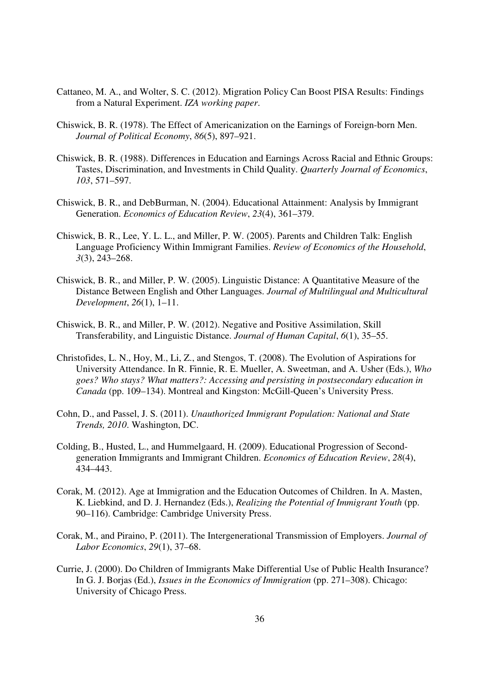- Cattaneo, M. A., and Wolter, S. C. (2012). Migration Policy Can Boost PISA Results: Findings from a Natural Experiment. *IZA working paper*.
- Chiswick, B. R. (1978). The Effect of Americanization on the Earnings of Foreign-born Men. *Journal of Political Economy*, *86*(5), 897–921.
- Chiswick, B. R. (1988). Differences in Education and Earnings Across Racial and Ethnic Groups: Tastes, Discrimination, and Investments in Child Quality. *Quarterly Journal of Economics*, *103*, 571–597.
- Chiswick, B. R., and DebBurman, N. (2004). Educational Attainment: Analysis by Immigrant Generation. *Economics of Education Review*, *23*(4), 361–379.
- Chiswick, B. R., Lee, Y. L. L., and Miller, P. W. (2005). Parents and Children Talk: English Language Proficiency Within Immigrant Families. *Review of Economics of the Household*, *3*(3), 243–268.
- Chiswick, B. R., and Miller, P. W. (2005). Linguistic Distance: A Quantitative Measure of the Distance Between English and Other Languages. *Journal of Multilingual and Multicultural Development*, *26*(1), 1–11.
- Chiswick, B. R., and Miller, P. W. (2012). Negative and Positive Assimilation, Skill Transferability, and Linguistic Distance. *Journal of Human Capital*, *6*(1), 35–55.
- Christofides, L. N., Hoy, M., Li, Z., and Stengos, T. (2008). The Evolution of Aspirations for University Attendance. In R. Finnie, R. E. Mueller, A. Sweetman, and A. Usher (Eds.), *Who goes? Who stays? What matters?: Accessing and persisting in postsecondary education in Canada* (pp. 109–134). Montreal and Kingston: McGill-Queen's University Press.
- Cohn, D., and Passel, J. S. (2011). *Unauthorized Immigrant Population: National and State Trends, 2010*. Washington, DC.
- Colding, B., Husted, L., and Hummelgaard, H. (2009). Educational Progression of Secondgeneration Immigrants and Immigrant Children. *Economics of Education Review*, *28*(4), 434–443.
- Corak, M. (2012). Age at Immigration and the Education Outcomes of Children. In A. Masten, K. Liebkind, and D. J. Hernandez (Eds.), *Realizing the Potential of Immigrant Youth* (pp. 90–116). Cambridge: Cambridge University Press.
- Corak, M., and Piraino, P. (2011). The Intergenerational Transmission of Employers. *Journal of Labor Economics*, *29*(1), 37–68.
- Currie, J. (2000). Do Children of Immigrants Make Differential Use of Public Health Insurance? In G. J. Borjas (Ed.), *Issues in the Economics of Immigration* (pp. 271–308). Chicago: University of Chicago Press.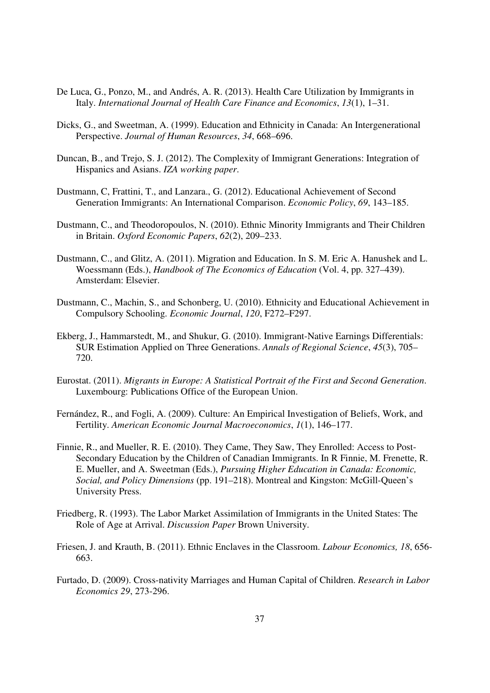- De Luca, G., Ponzo, M., and Andrés, A. R. (2013). Health Care Utilization by Immigrants in Italy. *International Journal of Health Care Finance and Economics*, *13*(1), 1–31.
- Dicks, G., and Sweetman, A. (1999). Education and Ethnicity in Canada: An Intergenerational Perspective. *Journal of Human Resources*, *34*, 668–696.
- Duncan, B., and Trejo, S. J. (2012). The Complexity of Immigrant Generations: Integration of Hispanics and Asians. *IZA working paper*.
- Dustmann, C, Frattini, T., and Lanzara., G. (2012). Educational Achievement of Second Generation Immigrants: An International Comparison. *Economic Policy*, *69*, 143–185.
- Dustmann, C., and Theodoropoulos, N. (2010). Ethnic Minority Immigrants and Their Children in Britain. *Oxford Economic Papers*, *62*(2), 209–233.
- Dustmann, C., and Glitz, A. (2011). Migration and Education. In S. M. Eric A. Hanushek and L. Woessmann (Eds.), *Handbook of The Economics of Education* (Vol. 4, pp. 327–439). Amsterdam: Elsevier.
- Dustmann, C., Machin, S., and Schonberg, U. (2010). Ethnicity and Educational Achievement in Compulsory Schooling. *Economic Journal*, *120*, F272–F297.
- Ekberg, J., Hammarstedt, M., and Shukur, G. (2010). Immigrant-Native Earnings Differentials: SUR Estimation Applied on Three Generations. *Annals of Regional Science*, *45*(3), 705– 720.
- Eurostat. (2011). *Migrants in Europe: A Statistical Portrait of the First and Second Generation*. Luxembourg: Publications Office of the European Union.
- Fernández, R., and Fogli, A. (2009). Culture: An Empirical Investigation of Beliefs, Work, and Fertility. *American Economic Journal Macroeconomics*, *1*(1), 146–177.
- Finnie, R., and Mueller, R. E. (2010). They Came, They Saw, They Enrolled: Access to Post-Secondary Education by the Children of Canadian Immigrants. In R Finnie, M. Frenette, R. E. Mueller, and A. Sweetman (Eds.), *Pursuing Higher Education in Canada: Economic, Social, and Policy Dimensions* (pp. 191–218). Montreal and Kingston: McGill-Queen's University Press.
- Friedberg, R. (1993). The Labor Market Assimilation of Immigrants in the United States: The Role of Age at Arrival. *Discussion Paper* Brown University.
- Friesen, J. and Krauth, B. (2011). Ethnic Enclaves in the Classroom. *Labour Economics, 18*, 656- 663.
- Furtado, D. (2009). Cross-nativity Marriages and Human Capital of Children. *Research in Labor Economics 29*, 273-296.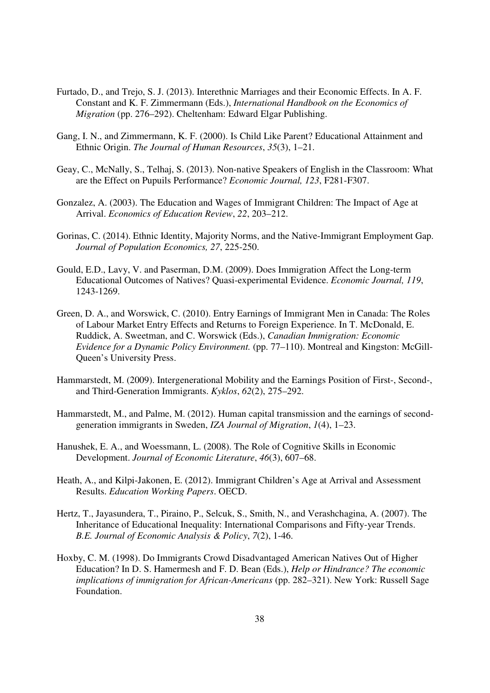- Furtado, D., and Trejo, S. J. (2013). Interethnic Marriages and their Economic Effects. In A. F. Constant and K. F. Zimmermann (Eds.), *International Handbook on the Economics of Migration* (pp. 276–292). Cheltenham: Edward Elgar Publishing.
- Gang, I. N., and Zimmermann, K. F. (2000). Is Child Like Parent? Educational Attainment and Ethnic Origin. *The Journal of Human Resources*, *35*(3), 1–21.
- Geay, C., McNally, S., Telhaj, S. (2013). Non-native Speakers of English in the Classroom: What are the Effect on Pupuils Performance? *Economic Journal, 123*, F281-F307.
- Gonzalez, A. (2003). The Education and Wages of Immigrant Children: The Impact of Age at Arrival. *Economics of Education Review*, *22*, 203–212.
- Gorinas, C. (2014). Ethnic Identity, Majority Norms, and the Native-Immigrant Employment Gap. *Journal of Population Economics, 27*, 225-250.
- Gould, E.D., Lavy, V. and Paserman, D.M. (2009). Does Immigration Affect the Long-term Educational Outcomes of Natives? Quasi-experimental Evidence. *Economic Journal, 119*, 1243-1269.
- Green, D. A., and Worswick, C. (2010). Entry Earnings of Immigrant Men in Canada: The Roles of Labour Market Entry Effects and Returns to Foreign Experience. In T. McDonald, E. Ruddick, A. Sweetman, and C. Worswick (Eds.), *Canadian Immigration: Economic Evidence for a Dynamic Policy Environment.* (pp. 77–110). Montreal and Kingston: McGill-Queen's University Press.
- Hammarstedt, M. (2009). Intergenerational Mobility and the Earnings Position of First-, Second-, and Third-Generation Immigrants. *Kyklos*, *62*(2), 275–292.
- Hammarstedt, M., and Palme, M. (2012). Human capital transmission and the earnings of secondgeneration immigrants in Sweden, *IZA Journal of Migration*, *1*(4), 1–23.
- Hanushek, E. A., and Woessmann, L. (2008). The Role of Cognitive Skills in Economic Development. *Journal of Economic Literature*, *46*(3), 607–68.
- Heath, A., and Kilpi-Jakonen, E. (2012). Immigrant Children's Age at Arrival and Assessment Results. *Education Working Papers*. OECD.
- Hertz, T., Jayasundera, T., Piraino, P., Selcuk, S., Smith, N., and Verashchagina, A. (2007). The Inheritance of Educational Inequality: International Comparisons and Fifty-year Trends. *B.E. Journal of Economic Analysis & Policy*, *7*(2), 1-46.
- Hoxby, C. M. (1998). Do Immigrants Crowd Disadvantaged American Natives Out of Higher Education? In D. S. Hamermesh and F. D. Bean (Eds.), *Help or Hindrance? The economic implications of immigration for African-Americans* (pp. 282–321). New York: Russell Sage Foundation.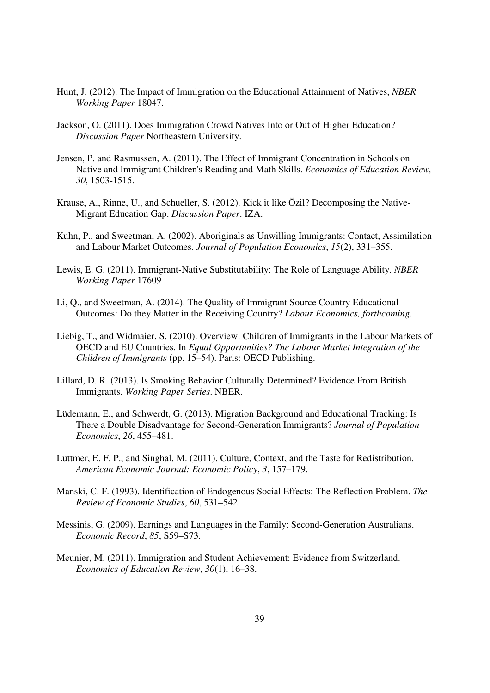- Hunt, J. (2012). The Impact of Immigration on the Educational Attainment of Natives, *NBER Working Paper* 18047.
- Jackson, O. (2011). Does Immigration Crowd Natives Into or Out of Higher Education? *Discussion Paper* Northeastern University.
- Jensen, P. and Rasmussen, A. (2011). The Effect of Immigrant Concentration in Schools on Native and Immigrant Children's Reading and Math Skills. *Economics of Education Review, 30*, 1503-1515.
- Krause, A., Rinne, U., and Schueller, S. (2012). Kick it like Özil? Decomposing the Native-Migrant Education Gap. *Discussion Paper*. IZA.
- Kuhn, P., and Sweetman, A. (2002). Aboriginals as Unwilling Immigrants: Contact, Assimilation and Labour Market Outcomes. *Journal of Population Economics*, *15*(2), 331–355.
- Lewis, E. G. (2011). Immigrant-Native Substitutability: The Role of Language Ability. *NBER Working Paper* 17609
- Li, Q., and Sweetman, A. (2014). The Quality of Immigrant Source Country Educational Outcomes: Do they Matter in the Receiving Country? *Labour Economics, forthcoming*.
- Liebig, T., and Widmaier, S. (2010). Overview: Children of Immigrants in the Labour Markets of OECD and EU Countries. In *Equal Opportunities? The Labour Market Integration of the Children of Immigrants* (pp. 15–54). Paris: OECD Publishing.
- Lillard, D. R. (2013). Is Smoking Behavior Culturally Determined? Evidence From British Immigrants. *Working Paper Series*. NBER.
- Lüdemann, E., and Schwerdt, G. (2013). Migration Background and Educational Tracking: Is There a Double Disadvantage for Second-Generation Immigrants? *Journal of Population Economics*, *26*, 455–481.
- Luttmer, E. F. P., and Singhal, M. (2011). Culture, Context, and the Taste for Redistribution. *American Economic Journal: Economic Policy*, *3*, 157–179.
- Manski, C. F. (1993). Identification of Endogenous Social Effects: The Reflection Problem. *The Review of Economic Studies*, *60*, 531–542.
- Messinis, G. (2009). Earnings and Languages in the Family: Second-Generation Australians. *Economic Record*, *85*, S59–S73.
- Meunier, M. (2011). Immigration and Student Achievement: Evidence from Switzerland. *Economics of Education Review*, *30*(1), 16–38.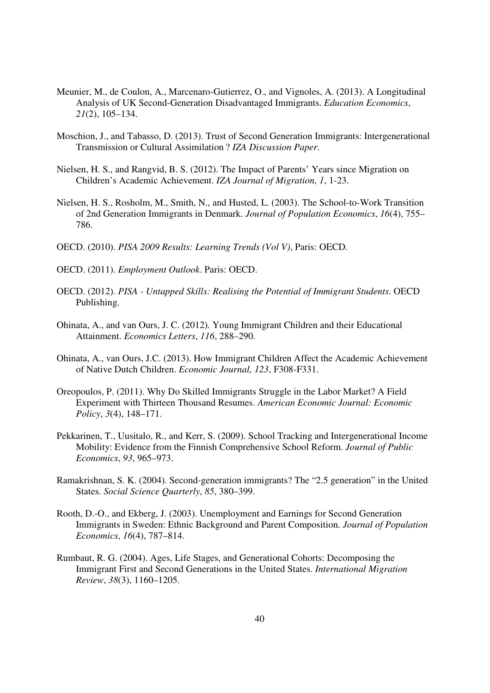- Meunier, M., de Coulon, A., Marcenaro-Gutierrez, O., and Vignoles, A. (2013). A Longitudinal Analysis of UK Second-Generation Disadvantaged Immigrants. *Education Economics*, *21*(2), 105–134.
- Moschion, J., and Tabasso, D. (2013). Trust of Second Generation Immigrants: Intergenerational Transmission or Cultural Assimilation ? *IZA Discussion Paper*.
- Nielsen, H. S., and Rangvid, B. S. (2012). The Impact of Parents' Years since Migration on Children's Academic Achievement. *IZA Journal of Migration, 1*, 1-23.
- Nielsen, H. S., Rosholm, M., Smith, N., and Husted, L. (2003). The School-to-Work Transition of 2nd Generation Immigrants in Denmark. *Journal of Population Economics*, *16*(4), 755– 786.
- OECD. (2010). *PISA 2009 Results: Learning Trends (Vol V)*, Paris: OECD*.*
- OECD. (2011). *Employment Outlook*. Paris: OECD.
- OECD. (2012). *PISA Untapped Skills: Realising the Potential of Immigrant Students*. OECD Publishing.
- Ohinata, A., and van Ours, J. C. (2012). Young Immigrant Children and their Educational Attainment. *Economics Letters*, *116*, 288–290.
- Ohinata, A., van Ours, J.C. (2013). How Immigrant Children Affect the Academic Achievement of Native Dutch Children. *Economic Journal, 123*, F308-F331.
- Oreopoulos, P. (2011). Why Do Skilled Immigrants Struggle in the Labor Market? A Field Experiment with Thirteen Thousand Resumes. *American Economic Journal: Economic Policy*, *3*(4), 148–171.
- Pekkarinen, T., Uusitalo, R., and Kerr, S. (2009). School Tracking and Intergenerational Income Mobility: Evidence from the Finnish Comprehensive School Reform. *Journal of Public Economics*, *93*, 965–973.
- Ramakrishnan, S. K. (2004). Second-generation immigrants? The "2.5 generation" in the United States. *Social Science Quarterly*, *85*, 380–399.
- Rooth, D.-O., and Ekberg, J. (2003). Unemployment and Earnings for Second Generation Immigrants in Sweden: Ethnic Background and Parent Composition. *Journal of Population Economics*, *16*(4), 787–814.
- Rumbaut, R. G. (2004). Ages, Life Stages, and Generational Cohorts: Decomposing the Immigrant First and Second Generations in the United States. *International Migration Review*, *38*(3), 1160–1205.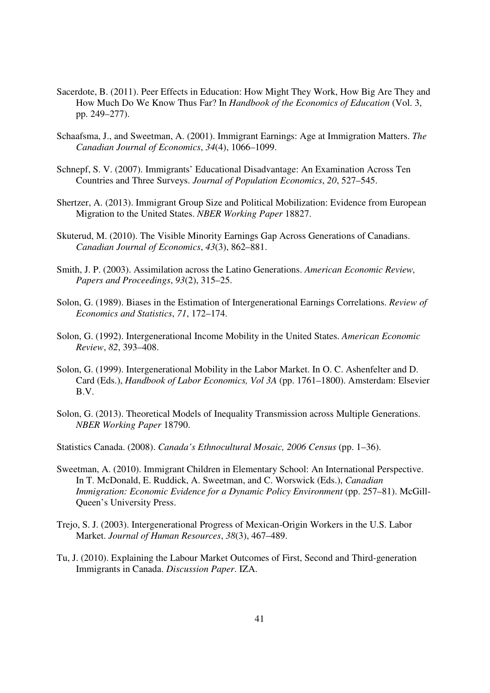- Sacerdote, B. (2011). Peer Effects in Education: How Might They Work, How Big Are They and How Much Do We Know Thus Far? In *Handbook of the Economics of Education* (Vol. 3, pp. 249–277).
- Schaafsma, J., and Sweetman, A. (2001). Immigrant Earnings: Age at Immigration Matters. *The Canadian Journal of Economics*, *34*(4), 1066–1099.
- Schnepf, S. V. (2007). Immigrants' Educational Disadvantage: An Examination Across Ten Countries and Three Surveys. *Journal of Population Economics*, *20*, 527–545.
- Shertzer, A. (2013). Immigrant Group Size and Political Mobilization: Evidence from European Migration to the United States. *NBER Working Paper* 18827.
- Skuterud, M. (2010). The Visible Minority Earnings Gap Across Generations of Canadians. *Canadian Journal of Economics*, *43*(3), 862–881.
- Smith, J. P. (2003). Assimilation across the Latino Generations. *American Economic Review, Papers and Proceedings*, *93*(2), 315–25.
- Solon, G. (1989). Biases in the Estimation of Intergenerational Earnings Correlations. *Review of Economics and Statistics*, *71*, 172–174.
- Solon, G. (1992). Intergenerational Income Mobility in the United States. *American Economic Review*, *82*, 393–408.
- Solon, G. (1999). Intergenerational Mobility in the Labor Market. In O. C. Ashenfelter and D. Card (Eds.), *Handbook of Labor Economics, Vol 3A* (pp. 1761–1800). Amsterdam: Elsevier B.V.
- Solon, G. (2013). Theoretical Models of Inequality Transmission across Multiple Generations. *NBER Working Paper* 18790.

Statistics Canada. (2008). *Canada's Ethnocultural Mosaic, 2006 Census* (pp. 1–36).

- Sweetman, A. (2010). Immigrant Children in Elementary School: An International Perspective. In T. McDonald, E. Ruddick, A. Sweetman, and C. Worswick (Eds.), *Canadian Immigration: Economic Evidence for a Dynamic Policy Environment* (pp. 257–81). McGill-Queen's University Press.
- Trejo, S. J. (2003). Intergenerational Progress of Mexican-Origin Workers in the U.S. Labor Market. *Journal of Human Resources*, *38*(3), 467–489.
- Tu, J. (2010). Explaining the Labour Market Outcomes of First, Second and Third-generation Immigrants in Canada. *Discussion Paper*. IZA.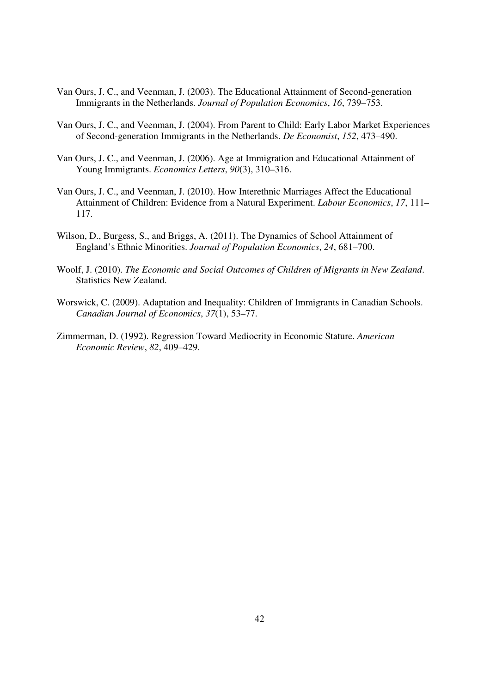- Van Ours, J. C., and Veenman, J. (2003). The Educational Attainment of Second-generation Immigrants in the Netherlands. *Journal of Population Economics*, *16*, 739–753.
- Van Ours, J. C., and Veenman, J. (2004). From Parent to Child: Early Labor Market Experiences of Second-generation Immigrants in the Netherlands. *De Economist*, *152*, 473–490.
- Van Ours, J. C., and Veenman, J. (2006). Age at Immigration and Educational Attainment of Young Immigrants. *Economics Letters*, *90*(3), 310–316.
- Van Ours, J. C., and Veenman, J. (2010). How Interethnic Marriages Affect the Educational Attainment of Children: Evidence from a Natural Experiment. *Labour Economics*, *17*, 111– 117.
- Wilson, D., Burgess, S., and Briggs, A. (2011). The Dynamics of School Attainment of England's Ethnic Minorities. *Journal of Population Economics*, *24*, 681–700.
- Woolf, J. (2010). *The Economic and Social Outcomes of Children of Migrants in New Zealand*. Statistics New Zealand.
- Worswick, C. (2009). Adaptation and Inequality: Children of Immigrants in Canadian Schools. *Canadian Journal of Economics*, *37*(1), 53–77.
- Zimmerman, D. (1992). Regression Toward Mediocrity in Economic Stature. *American Economic Review*, *82*, 409–429.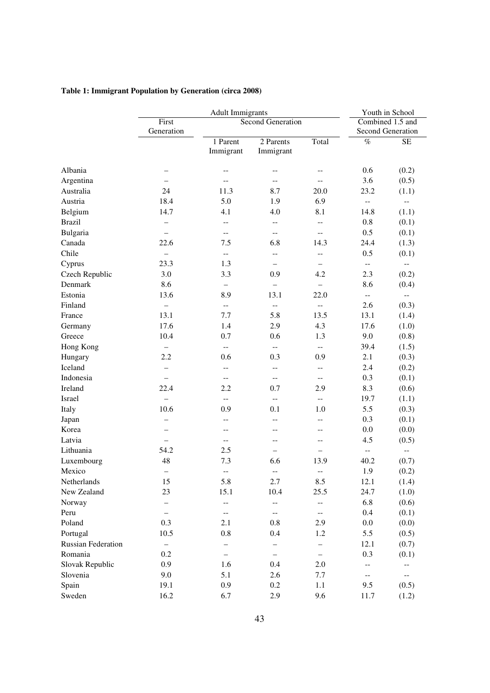## **Table 1: Immigrant Population by Generation (circa 2008)**

|                           |                          | Youth in School                               |                                               |                                               |                          |                          |
|---------------------------|--------------------------|-----------------------------------------------|-----------------------------------------------|-----------------------------------------------|--------------------------|--------------------------|
|                           | First<br>Generation      | Second Generation                             |                                               | Combined 1.5 and<br>Second Generation         |                          |                          |
|                           |                          | 1 Parent<br>Immigrant                         | 2 Parents<br>Immigrant                        | Total                                         | $\%$                     | $\rm SE$                 |
| Albania                   | -                        | $-$                                           | --                                            | --                                            | 0.6                      | (0.2)                    |
| Argentina                 |                          |                                               | $-$                                           | $-$                                           | 3.6                      | (0.5)                    |
| Australia                 | 24                       | 11.3                                          | 8.7                                           | 20.0                                          | 23.2                     | (1.1)                    |
| Austria                   | 18.4                     | 5.0                                           | 1.9                                           | 6.9                                           | Ξ.                       | --                       |
| Belgium                   | 14.7                     | 4.1                                           | 4.0                                           | 8.1                                           | 14.8                     | (1.1)                    |
| <b>Brazil</b>             | $\qquad \qquad -$        | $- -$                                         | $\overline{a}$                                | Щ.                                            | 0.8                      | (0.1)                    |
| Bulgaria                  | $\equiv$                 | $\overline{a}$                                | $\overline{a}$                                | Щ.                                            | 0.5                      | (0.1)                    |
| Canada                    | 22.6                     | 7.5                                           | 6.8                                           | 14.3                                          | 24.4                     | (1.3)                    |
| Chile                     | $\overline{\phantom{0}}$ | $- -$                                         | $\mathord{\hspace{1pt}\text{--}\hspace{1pt}}$ | --                                            | 0.5                      | (0.1)                    |
| Cyprus                    | 23.3                     | 1.3                                           | $\overline{\phantom{0}}$                      | $\overline{\phantom{0}}$                      | $\overline{\phantom{a}}$ | $\overline{\phantom{a}}$ |
| Czech Republic            | 3.0                      | 3.3                                           | 0.9                                           | 4.2                                           | 2.3                      | (0.2)                    |
| Denmark                   | 8.6                      | $\overline{\phantom{m}}$                      |                                               | $\overline{\phantom{0}}$                      | 8.6                      | (0.4)                    |
| Estonia                   | 13.6                     | 8.9                                           | 13.1                                          | 22.0                                          | $\overline{\phantom{a}}$ | $\overline{\phantom{a}}$ |
| Finland                   |                          | $\mathord{\hspace{1pt}\text{--}\hspace{1pt}}$ | $\overline{a}$                                | $\overline{a}$                                | 2.6                      | (0.3)                    |
| France                    | 13.1                     | 7.7                                           | 5.8                                           | 13.5                                          | 13.1                     | (1.4)                    |
| Germany                   | 17.6                     | 1.4                                           | 2.9                                           | 4.3                                           | 17.6                     | (1.0)                    |
| Greece                    | 10.4                     | 0.7                                           | 0.6                                           | 1.3                                           | 9.0                      | (0.8)                    |
| Hong Kong                 | $\overline{\phantom{0}}$ | $\overline{\phantom{a}}$                      | $\overline{\phantom{a}}$                      | --                                            | 39.4                     | (1.5)                    |
| Hungary                   | 2.2                      | 0.6                                           | 0.3                                           | 0.9                                           | 2.1                      | (0.3)                    |
| Iceland                   | $\overline{\phantom{0}}$ | $\mathcal{L} = \mathcal{L}$                   | $\mathord{\hspace{1pt}\text{--}\hspace{1pt}}$ | $-$                                           | 2.4                      | (0.2)                    |
| Indonesia                 |                          | $\mathcal{L} = \mathcal{L}$                   | $\mathcal{L} =$                               | $-$                                           | 0.3                      | (0.1)                    |
| Ireland                   | 22.4                     | 2.2                                           | 0.7                                           | 2.9                                           | 8.3                      | (0.6)                    |
| Israel                    |                          | $\mathord{\hspace{1pt}\text{--}\hspace{1pt}}$ | $\sim$ $\sim$                                 | $- -$                                         | 19.7                     | (1.1)                    |
| Italy                     | 10.6                     | 0.9                                           | 0.1                                           | 1.0                                           | 5.5                      | (0.3)                    |
| Japan                     | $\overline{\phantom{0}}$ | $\overline{a}$                                | $\overline{a}$                                | --                                            | 0.3                      | (0.1)                    |
| Korea                     | -                        | $\mathord{\hspace{1pt}\text{--}\hspace{1pt}}$ | --                                            | $- -$                                         | 0.0                      | (0.0)                    |
| Latvia                    | $\equiv$                 | $\overline{a}$                                | $-$                                           | --                                            | 4.5                      | (0.5)                    |
| Lithuania                 | 54.2                     | 2.5                                           |                                               |                                               | $\overline{\phantom{a}}$ | $\overline{\phantom{a}}$ |
| Luxembourg                | 48                       | 7.3                                           | 6.6                                           | 13.9                                          | 40.2                     | (0.7)                    |
| Mexico                    |                          | $-$                                           | $-$                                           | $\mathord{\hspace{1pt}\text{--}\hspace{1pt}}$ | 1.9                      | (0.2)                    |
| Netherlands               | 15                       | 5.8                                           | $2.7\,$                                       | 8.5                                           | 12.1                     | (1.4)                    |
| New Zealand               | 23                       | 15.1                                          | 10.4                                          | 25.5                                          | 24.7                     | (1.0)                    |
| Norway                    | -                        | --                                            | --                                            | --                                            | 6.8                      | (0.6)                    |
| Peru                      | $\qquad \qquad -$        | $\overline{\phantom{a}}$                      | $\overline{\phantom{a}}$                      | 44                                            | 0.4                      | (0.1)                    |
| Poland                    | 0.3                      | 2.1                                           | 0.8                                           | 2.9                                           | $0.0\,$                  | (0.0)                    |
| Portugal                  | 10.5                     | $0.8\,$                                       | 0.4                                           | 1.2                                           | 5.5                      | (0.5)                    |
| <b>Russian Federation</b> | $\qquad \qquad -$        | $\overline{\phantom{0}}$                      | -                                             | —                                             | 12.1                     | (0.7)                    |
| Romania                   | 0.2                      | $\qquad \qquad -$                             | -                                             | $\overline{\phantom{0}}$                      | 0.3                      | (0.1)                    |
| Slovak Republic           | 0.9                      | 1.6                                           | 0.4                                           | 2.0                                           | --                       | $- -$                    |
| Slovenia                  | 9.0                      | 5.1                                           | 2.6                                           | 7.7                                           | $\overline{\phantom{a}}$ | $-$                      |
| Spain                     | 19.1                     | 0.9                                           | $0.2\,$                                       | 1.1                                           | 9.5                      | (0.5)                    |
| Sweden                    | 16.2                     | 6.7                                           | 2.9                                           | 9.6                                           | 11.7                     | (1.2)                    |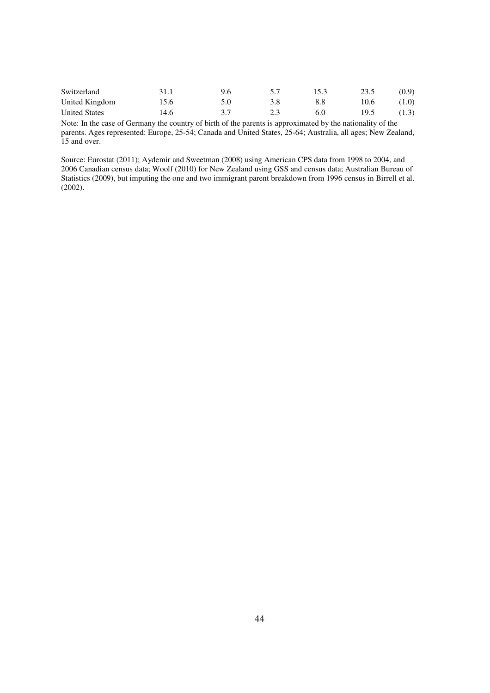| Switzerland          | 31.1  | 9.6 |     | 15.3 | 23.5 | (0.9) |
|----------------------|-------|-----|-----|------|------|-------|
| United Kingdom       | 15.6  |     |     | 8.8  | 10.6 | (1.0) |
| <b>United States</b> | l 4.6 |     | 2.3 | 6.0  | 19.5 | (1.3) |

Note: In the case of Germany the country of birth of the parents is approximated by the nationality of the parents. Ages represented: Europe, 25-54; Canada and United States, 25-64; Australia, all ages; New Zealand, 15 and over.

Source: Eurostat (2011); Aydemir and Sweetman (2008) using American CPS data from 1998 to 2004, and 2006 Canadian census data; Woolf (2010) for New Zealand using GSS and census data; Australian Bureau of Statistics (2009), but imputing the one and two immigrant parent breakdown from 1996 census in Birrell et al. (2002).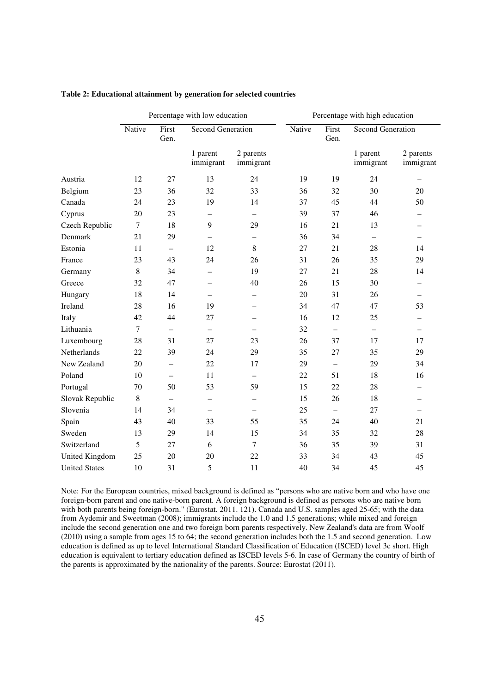|                       |                |                          | Percentage with low education |                          | Percentage with high education |                          |                          |                          |  |
|-----------------------|----------------|--------------------------|-------------------------------|--------------------------|--------------------------------|--------------------------|--------------------------|--------------------------|--|
|                       | Native         | First<br>Gen.            | <b>Second Generation</b>      |                          | Native                         | First<br>Gen.            | <b>Second Generation</b> |                          |  |
|                       |                |                          | 1 parent<br>immigrant         | 2 parents<br>immigrant   |                                |                          | 1 parent<br>immigrant    | 2 parents<br>immigrant   |  |
| Austria               | 12             | 27                       | 13                            | 24                       | 19                             | 19                       | 24                       | $\qquad \qquad -$        |  |
| Belgium               | 23             | 36                       | 32                            | 33                       | 36                             | 32                       | 30                       | 20                       |  |
| Canada                | 24             | 23                       | 19                            | 14                       | 37                             | 45                       | 44                       | 50                       |  |
| Cyprus                | 20             | 23                       | $\qquad \qquad -$             |                          | 39                             | 37                       | 46                       |                          |  |
| Czech Republic        | $\overline{7}$ | 18                       | 9                             | 29                       | 16                             | 21                       | 13                       |                          |  |
| Denmark               | 21             | 29                       | $\overline{\phantom{0}}$      | $\qquad \qquad -$        | 36                             | 34                       | $\overline{\phantom{m}}$ | $\equiv$                 |  |
| Estonia               | 11             | $\qquad \qquad -$        | 12                            | 8                        | 27                             | 21                       | 28                       | 14                       |  |
| France                | 23             | 43                       | 24                            | 26                       | 31                             | 26                       | 35                       | 29                       |  |
| Germany               | 8              | 34                       | $\qquad \qquad -$             | 19                       | 27                             | 21                       | 28                       | 14                       |  |
| Greece                | 32             | 47                       | $\overline{\phantom{0}}$      | 40                       | 26                             | 15                       | 30                       | $\overline{\phantom{0}}$ |  |
| Hungary               | 18             | 14                       | $\overline{\phantom{0}}$      | $\qquad \qquad -$        | 20                             | 31                       | 26                       | $\equiv$                 |  |
| Ireland               | 28             | 16                       | 19                            | -                        | 34                             | 47                       | 47                       | 53                       |  |
| Italy                 | 42             | 44                       | 27                            |                          | 16                             | 12                       | 25                       |                          |  |
| Lithuania             | $\tau$         | $\qquad \qquad -$        | $\qquad \qquad -$             |                          | 32                             | $\qquad \qquad -$        | $\overline{\phantom{m}}$ |                          |  |
| Luxembourg            | 28             | 31                       | 27                            | 23                       | 26                             | 37                       | 17                       | 17                       |  |
| Netherlands           | 22             | 39                       | 24                            | 29                       | 35                             | 27                       | 35                       | 29                       |  |
| New Zealand           | 20             | $\qquad \qquad -$        | 22                            | 17                       | 29                             | $\qquad \qquad -$        | 29                       | 34                       |  |
| Poland                | 10             | $\overline{\phantom{0}}$ | 11                            | $\qquad \qquad -$        | 22                             | 51                       | 18                       | 16                       |  |
| Portugal              | 70             | 50                       | 53                            | 59                       | 15                             | $22\,$                   | $28\,$                   | $\overline{\phantom{0}}$ |  |
| Slovak Republic       | 8              | $\overline{\phantom{0}}$ | $\qquad \qquad -$             | $\qquad \qquad -$        | 15                             | 26                       | 18                       | $\overline{\phantom{0}}$ |  |
| Slovenia              | 14             | 34                       | $\overline{\phantom{0}}$      | $\overline{\phantom{0}}$ | 25                             | $\overline{\phantom{0}}$ | 27                       |                          |  |
| Spain                 | 43             | 40                       | 33                            | 55                       | 35                             | 24                       | 40                       | 21                       |  |
| Sweden                | 13             | 29                       | 14                            | 15                       | 34                             | 35                       | 32                       | 28                       |  |
| Switzerland           | 5              | 27                       | 6                             | $\overline{7}$           | 36                             | 35                       | 39                       | 31                       |  |
| <b>United Kingdom</b> | 25             | 20                       | 20                            | 22                       | 33                             | 34                       | 43                       | 45                       |  |
| <b>United States</b>  | 10             | 31                       | 5                             | 11                       | 40                             | 34                       | 45                       | 45                       |  |

#### **Table 2: Educational attainment by generation for selected countries**

Note: For the European countries, mixed background is defined as "persons who are native born and who have one foreign-born parent and one native-born parent. A foreign background is defined as persons who are native born with both parents being foreign-born." (Eurostat. 2011. 121). Canada and U.S. samples aged 25-65; with the data from Aydemir and Sweetman (2008); immigrants include the 1.0 and 1.5 generations; while mixed and foreign include the second generation one and two foreign born parents respectively. New Zealand's data are from Woolf (2010) using a sample from ages 15 to 64; the second generation includes both the 1.5 and second generation. Low education is defined as up to level International Standard Classification of Education (ISCED) level 3c short. High education is equivalent to tertiary education defined as ISCED levels 5-6. In case of Germany the country of birth of the parents is approximated by the nationality of the parents. Source: Eurostat (2011).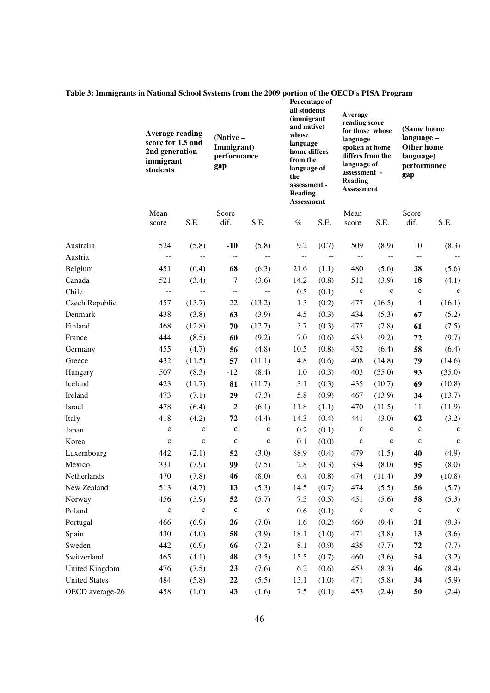|                      | <b>Average reading</b><br>score for 1.5 and<br>2nd generation<br>immigrant<br>students |                                               | (Native-<br>Immigrant)<br>performance<br>gap |                | <b>Percentage of</b><br>all students<br>(immigrant<br>and native)<br>whose<br>language<br>home differs<br>from the<br>language of<br>the<br>assessment -<br><b>Reading</b><br><b>Assessment</b> |                | Average<br>reading score<br>for those whose<br>language<br>spoken at home<br>differs from the<br>language of<br>assessment -<br>Reading<br><b>Assessment</b> |              | (Same home<br>language -<br>Other home<br>language)<br>performance<br>gap |                 |
|----------------------|----------------------------------------------------------------------------------------|-----------------------------------------------|----------------------------------------------|----------------|-------------------------------------------------------------------------------------------------------------------------------------------------------------------------------------------------|----------------|--------------------------------------------------------------------------------------------------------------------------------------------------------------|--------------|---------------------------------------------------------------------------|-----------------|
|                      | Mean<br>score                                                                          | S.E.                                          | Score<br>dif.                                | S.E.           | $\%$                                                                                                                                                                                            | S.E.           | Mean<br>score                                                                                                                                                | S.E.         | Score<br>dif.                                                             | S.E.            |
| Australia            | 524                                                                                    | (5.8)                                         | $-10$                                        | (5.8)          | 9.2                                                                                                                                                                                             | (0.7)          | 509                                                                                                                                                          | (8.9)        | 10                                                                        | (8.3)           |
| Austria              | $\overline{\phantom{a}}$                                                               | $\overline{a}$                                | $\mathbb{L}^{\mathbb{L}}$                    | $\overline{a}$ | $\sim$ $\sim$                                                                                                                                                                                   | $\overline{a}$ | $\overline{\phantom{a}}$                                                                                                                                     | $-$          | $\overline{\phantom{a}}$                                                  | $\mathcal{L} =$ |
| Belgium              | 451                                                                                    | (6.4)                                         | 68                                           | (6.3)          | 21.6                                                                                                                                                                                            | (1.1)          | 480                                                                                                                                                          | (5.6)        | 38                                                                        | (5.6)           |
| Canada               | 521                                                                                    | (3.4)                                         | $\tau$                                       | (3.6)          | 14.2                                                                                                                                                                                            | (0.8)          | 512                                                                                                                                                          | (3.9)        | 18                                                                        | (4.1)           |
| Chile                | --                                                                                     | $\mathord{\hspace{1pt}\text{--}\hspace{1pt}}$ | --                                           | $-$            | 0.5                                                                                                                                                                                             | (0.1)          | $\mathbf{C}$                                                                                                                                                 | $\mathbf c$  | $\mathbf c$                                                               | $\mathbf c$     |
| Czech Republic       | 457                                                                                    | (13.7)                                        | 22                                           | (13.2)         | 1.3                                                                                                                                                                                             | (0.2)          | 477                                                                                                                                                          | (16.5)       | $\overline{4}$                                                            | (16.1)          |
| Denmark              | 438                                                                                    | (3.8)                                         | 63                                           | (3.9)          | 4.5                                                                                                                                                                                             | (0.3)          | 434                                                                                                                                                          | (5.3)        | 67                                                                        | (5.2)           |
| Finland              | 468                                                                                    | (12.8)                                        | 70                                           | (12.7)         | 3.7                                                                                                                                                                                             | (0.3)          | 477                                                                                                                                                          | (7.8)        | 61                                                                        | (7.5)           |
| France               | 444                                                                                    | (8.5)                                         | 60                                           | (9.2)          | 7.0                                                                                                                                                                                             | (0.6)          | 433                                                                                                                                                          | (9.2)        | 72                                                                        | (9.7)           |
| Germany              | 455                                                                                    | (4.7)                                         | 56                                           | (4.8)          | 10.5                                                                                                                                                                                            | (0.8)          | 452                                                                                                                                                          | (6.4)        | 58                                                                        | (6.4)           |
| Greece               | 432                                                                                    | (11.5)                                        | 57                                           | (11.1)         | 4.8                                                                                                                                                                                             | (0.6)          | 408                                                                                                                                                          | (14.8)       | 79                                                                        | (14.6)          |
| Hungary              | 507                                                                                    | (8.3)                                         | $-12$                                        | (8.4)          | 1.0                                                                                                                                                                                             | (0.3)          | 403                                                                                                                                                          | (35.0)       | 93                                                                        | (35.0)          |
| Iceland              | 423                                                                                    | (11.7)                                        | 81                                           | (11.7)         | 3.1                                                                                                                                                                                             | (0.3)          | 435                                                                                                                                                          | (10.7)       | 69                                                                        | (10.8)          |
| Ireland              | 473                                                                                    | (7.1)                                         | 29                                           | (7.3)          | 5.8                                                                                                                                                                                             | (0.9)          | 467                                                                                                                                                          | (13.9)       | 34                                                                        | (13.7)          |
| Israel               | 478                                                                                    | (6.4)                                         | $\sqrt{2}$                                   | (6.1)          | 11.8                                                                                                                                                                                            | (1.1)          | 470                                                                                                                                                          | (11.5)       | 11                                                                        | (11.9)          |
| Italy                | 418                                                                                    | (4.2)                                         | 72                                           | (4.4)          | 14.3                                                                                                                                                                                            | (0.4)          | 441                                                                                                                                                          | (3.0)        | 62                                                                        | (3.2)           |
| Japan                | $\mathbf c$                                                                            | $\mathbf c$                                   | $\mathbf c$                                  | $\mathbf{C}$   | 0.2                                                                                                                                                                                             | (0.1)          | $\mathbf c$                                                                                                                                                  | $\mathbf c$  | $\mathbf c$                                                               | $\mathbf c$     |
| Korea                | $\mathbf c$                                                                            | $\mathbf c$                                   | $\mathbf c$                                  | $\mathbf{C}$   | 0.1                                                                                                                                                                                             | (0.0)          | $\mathbf c$                                                                                                                                                  | $\mathbf c$  | $\mathbf c$                                                               | $\mathbf c$     |
| Luxembourg           | 442                                                                                    | (2.1)                                         | 52                                           | (3.0)          | 88.9                                                                                                                                                                                            | (0.4)          | 479                                                                                                                                                          | (1.5)        | 40                                                                        | (4.9)           |
| Mexico               | 331                                                                                    | (7.9)                                         | 99                                           | (7.5)          | 2.8                                                                                                                                                                                             | (0.3)          | 334                                                                                                                                                          | (8.0)        | 95                                                                        | (8.0)           |
| Netherlands          | 470                                                                                    | (7.8)                                         | 46                                           | (8.0)          | 6.4                                                                                                                                                                                             | (0.8)          | 474                                                                                                                                                          | (11.4)       | 39                                                                        | (10.8)          |
| New Zealand          | 513                                                                                    | (4.7)                                         | 13                                           | (5.3)          | 14.5                                                                                                                                                                                            | (0.7)          | 474                                                                                                                                                          | (5.5)        | 56                                                                        | (5.7)           |
| Norway               | 456                                                                                    | (5.9)                                         | 52                                           | (5.7)          | 7.3                                                                                                                                                                                             | (0.5)          | 451                                                                                                                                                          | (5.6)        | 58                                                                        | (5.3)           |
| Poland               | $\mathbf c$                                                                            | $\mathbf c$                                   | $\mathbf c$                                  | $\mathbf c$    | 0.6                                                                                                                                                                                             | (0.1)          | $\mathbf c$                                                                                                                                                  | $\mathbf{C}$ | $\mathbf c$                                                               | $\mathbf c$     |
| Portugal             | 466                                                                                    | (6.9)                                         | 26                                           | (7.0)          | 1.6                                                                                                                                                                                             | (0.2)          | 460                                                                                                                                                          | (9.4)        | 31                                                                        | (9.3)           |
| Spain                | 430                                                                                    | (4.0)                                         | 58                                           | (3.9)          | 18.1                                                                                                                                                                                            | (1.0)          | 471                                                                                                                                                          | (3.8)        | 13                                                                        | (3.6)           |
| Sweden               | 442                                                                                    | (6.9)                                         | 66                                           | (7.2)          | 8.1                                                                                                                                                                                             | (0.9)          | 435                                                                                                                                                          | (7.7)        | 72                                                                        | (7.7)           |
| Switzerland          | 465                                                                                    | (4.1)                                         | 48                                           | (3.5)          | 15.5                                                                                                                                                                                            | (0.7)          | 460                                                                                                                                                          | (3.6)        | 54                                                                        | (3.2)           |
| United Kingdom       | 476                                                                                    | (7.5)                                         | 23                                           | (7.6)          | 6.2                                                                                                                                                                                             | (0.6)          | 453                                                                                                                                                          | (8.3)        | 46                                                                        | (8.4)           |
| <b>United States</b> | 484                                                                                    | (5.8)                                         | 22                                           | (5.5)          | 13.1                                                                                                                                                                                            | (1.0)          | 471                                                                                                                                                          | (5.8)        | 34                                                                        | (5.9)           |
| OECD average-26      | 458                                                                                    | (1.6)                                         | 43                                           | (1.6)          | $7.5\,$                                                                                                                                                                                         | (0.1)          | 453                                                                                                                                                          | (2.4)        | 50                                                                        | (2.4)           |
|                      |                                                                                        |                                               |                                              |                |                                                                                                                                                                                                 |                |                                                                                                                                                              |              |                                                                           |                 |

## **Table 3: Immigrants in National School Systems from the 2009 portion of the OECD's PISA Program**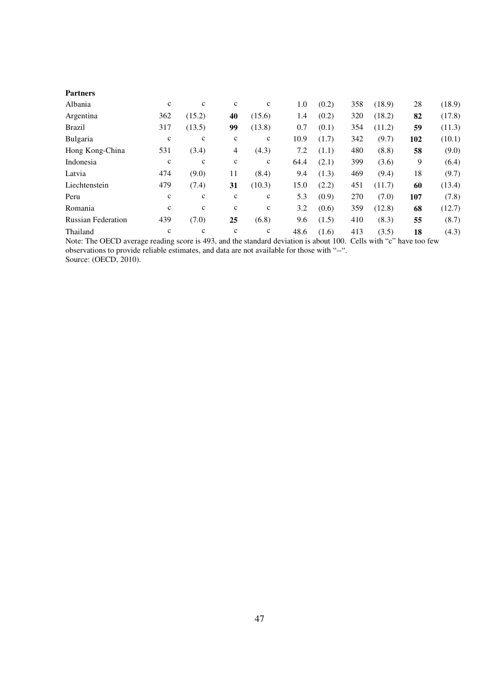| <b>Partners</b>           |              |             |             |             |      |       |     |        |     |        |
|---------------------------|--------------|-------------|-------------|-------------|------|-------|-----|--------|-----|--------|
| Albania                   | $\mathbf{c}$ | $\mathbf c$ | $\mathbf c$ | $\mathbf c$ | 1.0  | (0.2) | 358 | (18.9) | 28  | (18.9) |
| Argentina                 | 362          | (15.2)      | 40          | (15.6)      | 1.4  | (0.2) | 320 | (18.2) | 82  | (17.8) |
| <b>Brazil</b>             | 317          | (13.5)      | 99          | (13.8)      | 0.7  | (0.1) | 354 | (11.2) | 59  | (11.3) |
| Bulgaria                  | $\mathbf{c}$ | $\mathbf c$ | $\mathbf c$ | $\mathbf c$ | 10.9 | (1.7) | 342 | (9.7)  | 102 | (10.1) |
| Hong Kong-China           | 531          | (3.4)       | 4           | (4.3)       | 7.2  | (1.1) | 480 | (8.8)  | 58  | (9.0)  |
| Indonesia                 | $\mathbf{c}$ | $\mathbf c$ | $\mathbf c$ | c           | 64.4 | (2.1) | 399 | (3.6)  | 9   | (6.4)  |
| Latvia                    | 474          | (9.0)       | 11          | (8.4)       | 9.4  | (1.3) | 469 | (9.4)  | 18  | (9.7)  |
| Liechtenstein             | 479          | (7.4)       | 31          | (10.3)      | 15.0 | (2.2) | 451 | (11.7) | 60  | (13.4) |
| Peru                      | $\mathbf{c}$ | $\mathbf c$ | $\mathbf c$ | $\mathbf c$ | 5.3  | (0.9) | 270 | (7.0)  | 107 | (7.8)  |
| Romania                   | $\mathbf{c}$ | $\mathbf c$ | $\mathbf c$ | $\mathbf c$ | 3.2  | (0.6) | 359 | (12.8) | 68  | (12.7) |
| <b>Russian Federation</b> | 439          | (7.0)       | 25          | (6.8)       | 9.6  | (1.5) | 410 | (8.3)  | 55  | (8.7)  |
| Thailand                  | $\mathbf{c}$ | $\mathbf c$ | $\mathbf c$ | $\mathbf c$ | 48.6 | (1.6) | 413 | (3.5)  | 18  | (4.3)  |

Note: The OECD average reading score is 493, and the standard deviation is about 100. Cells with "c" have too few observations to provide reliable estimates, and data are not available for those with "--".

Source: (OECD, 2010).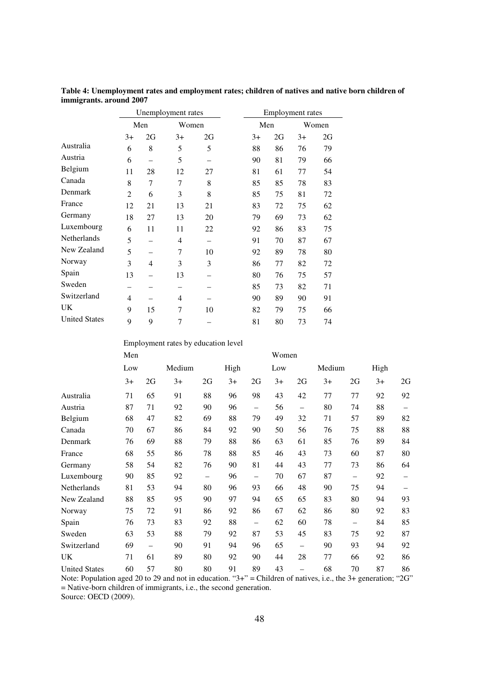|                      |                |                          | Unemployment rates |       |      | Employment rates |      |       |  |  |
|----------------------|----------------|--------------------------|--------------------|-------|------|------------------|------|-------|--|--|
|                      |                | Men                      |                    | Women |      | Men              |      | Women |  |  |
|                      | $3+$           | 2G                       | $3+$               | 2G    | $3+$ | 2G               | $3+$ | 2G    |  |  |
| Australia            | 6              | 8                        | 5                  | 5     | 88   | 86               | 76   | 79    |  |  |
| Austria              | 6              | $\overline{\phantom{0}}$ | 5                  |       | 90   | 81               | 79   | 66    |  |  |
| Belgium              | 11             | 28                       | 12                 | 27    | 81   | 61               | 77   | 54    |  |  |
| Canada               | 8              | 7                        | 7                  | 8     | 85   | 85               | 78   | 83    |  |  |
| Denmark              | $\overline{c}$ | 6                        | 3                  | 8     | 85   | 75               | 81   | 72    |  |  |
| France               | 12             | 21                       | 13                 | 21    | 83   | 72               | 75   | 62    |  |  |
| Germany              | 18             | 27                       | 13                 | 20    | 79   | 69               | 73   | 62    |  |  |
| Luxembourg           | 6              | 11                       | 11                 | 22    | 92   | 86               | 83   | 75    |  |  |
| Netherlands          | 5              |                          | 4                  |       | 91   | 70               | 87   | 67    |  |  |
| New Zealand          | 5              |                          | 7                  | 10    | 92   | 89               | 78   | 80    |  |  |
| Norway               | 3              | $\overline{4}$           | 3                  | 3     | 86   | 77               | 82   | 72    |  |  |
| Spain                | 13             |                          | 13                 |       | 80   | 76               | 75   | 57    |  |  |
| Sweden               |                |                          |                    |       | 85   | 73               | 82   | 71    |  |  |
| Switzerland          | 4              |                          | 4                  |       | 90   | 89               | 90   | 91    |  |  |
| UK                   | 9              | 15                       | 7                  | 10    | 82   | 79               | 75   | 66    |  |  |
| <b>United States</b> | 9              | 9                        | 7                  |       | 81   | 80               | 73   | 74    |  |  |

**Table 4: Unemployment rates and employment rates; children of natives and native born children of immigrants. around 2007**

Employment rates by education level

|                      | Men  |                          |        |                          |      |                          |      | Women                    |      |                          |      |                          |
|----------------------|------|--------------------------|--------|--------------------------|------|--------------------------|------|--------------------------|------|--------------------------|------|--------------------------|
|                      | Low  |                          | Medium |                          | High |                          | Low  |                          |      | Medium                   |      |                          |
|                      | $3+$ | 2G                       | $3+$   | 2G                       | $3+$ | 2G                       | $3+$ | 2G                       | $3+$ | 2G                       | $3+$ | 2G                       |
| Australia            | 71   | 65                       | 91     | 88                       | 96   | 98                       | 43   | 42                       | 77   | 77                       | 92   | 92                       |
| Austria              | 87   | 71                       | 92     | 90                       | 96   | $\overline{\phantom{0}}$ | 56   | $\overline{\phantom{0}}$ | 80   | 74                       | 88   | $\overline{\phantom{0}}$ |
| Belgium              | 68   | 47                       | 82     | 69                       | 88   | 79                       | 49   | 32                       | 71   | 57                       | 89   | 82                       |
| Canada               | 70   | 67                       | 86     | 84                       | 92   | 90                       | 50   | 56                       | 76   | 75                       | 88   | 88                       |
| Denmark              | 76   | 69                       | 88     | 79                       | 88   | 86                       | 63   | 61                       | 85   | 76                       | 89   | 84                       |
| France               | 68   | 55                       | 86     | 78                       | 88   | 85                       | 46   | 43                       | 73   | 60                       | 87   | 80                       |
| Germany              | 58   | 54                       | 82     | 76                       | 90   | 81                       | 44   | 43                       | 77   | 73                       | 86   | 64                       |
| Luxembourg           | 90   | 85                       | 92     | $\overline{\phantom{0}}$ | 96   | $\overline{\phantom{0}}$ | 70   | 67                       | 87   | $\overline{\phantom{0}}$ | 92   | —                        |
| Netherlands          | 81   | 53                       | 94     | 80                       | 96   | 93                       | 66   | 48                       | 90   | 75                       | 94   |                          |
| New Zealand          | 88   | 85                       | 95     | 90                       | 97   | 94                       | 65   | 65                       | 83   | 80                       | 94   | 93                       |
| Norway               | 75   | 72                       | 91     | 86                       | 92   | 86                       | 67   | 62                       | 86   | 80                       | 92   | 83                       |
| Spain                | 76   | 73                       | 83     | 92                       | 88   | $\overline{\phantom{0}}$ | 62   | 60                       | 78   | $\overline{\phantom{0}}$ | 84   | 85                       |
| Sweden               | 63   | 53                       | 88     | 79                       | 92   | 87                       | 53   | 45                       | 83   | 75                       | 92   | 87                       |
| Switzerland          | 69   | $\overline{\phantom{0}}$ | 90     | 91                       | 94   | 96                       | 65   | $\overline{\phantom{0}}$ | 90   | 93                       | 94   | 92                       |
| UK                   | 71   | 61                       | 89     | 80                       | 92   | 90                       | 44   | 28                       | 77   | 66                       | 92   | 86                       |
| <b>United States</b> | 60   | 57                       | 80     | 80                       | 91   | 89                       | 43   | $\overline{\phantom{0}}$ | 68   | 70                       | 87   | 86                       |

Note: Population aged 20 to 29 and not in education. "3+" = Children of natives, i.e., the 3+ generation; "2G" = Native-born children of immigrants, i.e., the second generation.

Source: OECD (2009).